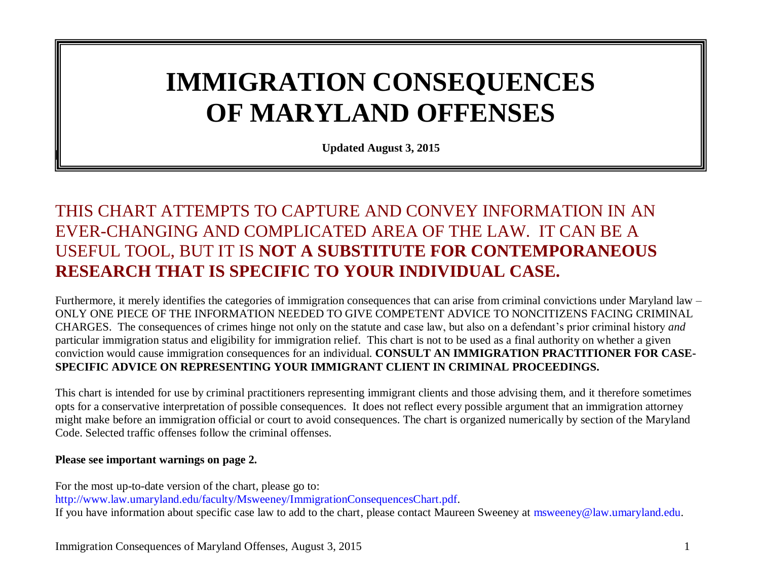# **IMMIGRATION CONSEQUENCES OF MARYLAND OFFENSES**

**Updated August 3, 2015**

### THIS CHART ATTEMPTS TO CAPTURE AND CONVEY INFORMATION IN AN EVER-CHANGING AND COMPLICATED AREA OF THE LAW. IT CAN BE A USEFUL TOOL, BUT IT IS **NOT A SUBSTITUTE FOR CONTEMPORANEOUS RESEARCH THAT IS SPECIFIC TO YOUR INDIVIDUAL CASE.**

Furthermore, it merely identifies the categories of immigration consequences that can arise from criminal convictions under Maryland law – ONLY ONE PIECE OF THE INFORMATION NEEDED TO GIVE COMPETENT ADVICE TO NONCITIZENS FACING CRIMINAL CHARGES. The consequences of crimes hinge not only on the statute and case law, but also on a defendant's prior criminal history *and*  particular immigration status and eligibility for immigration relief. This chart is not to be used as a final authority on whether a given conviction would cause immigration consequences for an individual. **CONSULT AN IMMIGRATION PRACTITIONER FOR CASE-SPECIFIC ADVICE ON REPRESENTING YOUR IMMIGRANT CLIENT IN CRIMINAL PROCEEDINGS.**

This chart is intended for use by criminal practitioners representing immigrant clients and those advising them, and it therefore sometimes opts for a conservative interpretation of possible consequences. It does not reflect every possible argument that an immigration attorney might make before an immigration official or court to avoid consequences. The chart is organized numerically by section of the Maryland Code. Selected traffic offenses follow the criminal offenses.

#### **Please see important warnings on page 2.**

**[REVISE]**

For the most up-to-date version of the chart, please go to: [http://www.law.umaryland.edu/faculty/Msweeney/ImmigrationConsequencesChart.pdf.](http://www.law.umaryland.edu/faculty/Msweeney/ImmigrationConsequencesChart.pdf) If you have information about specific case law to add to the chart, please contact Maureen Sweeney at [msweeney@law.umaryland.edu.](mailto:msweeney@law.umaryland.edu)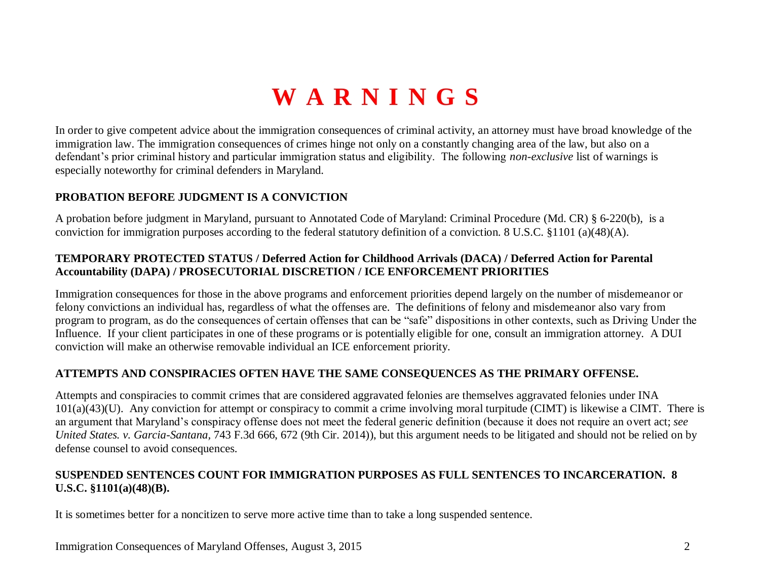## **WARNINGS**

In order to give competent advice about the immigration consequences of criminal activity, an attorney must have broad knowledge of the immigration law. The immigration consequences of crimes hinge not only on a constantly changing area of the law, but also on a defendant's prior criminal history and particular immigration status and eligibility. The following *non-exclusive* list of warnings is especially noteworthy for criminal defenders in Maryland.

#### **PROBATION BEFORE JUDGMENT IS A CONVICTION**

A probation before judgment in Maryland, pursuant to Annotated Code of Maryland: Criminal Procedure (Md. CR) § 6-220(b), is a conviction for immigration purposes according to the federal statutory definition of a conviction. 8 U.S.C. §1101 (a)(48)(A).

#### **TEMPORARY PROTECTED STATUS / Deferred Action for Childhood Arrivals (DACA) / Deferred Action for Parental Accountability (DAPA) / PROSECUTORIAL DISCRETION / ICE ENFORCEMENT PRIORITIES**

Immigration consequences for those in the above programs and enforcement priorities depend largely on the number of misdemeanor or felony convictions an individual has, regardless of what the offenses are. The definitions of felony and misdemeanor also vary from program to program, as do the consequences of certain offenses that can be "safe" dispositions in other contexts, such as Driving Under the Influence. If your client participates in one of these programs or is potentially eligible for one, consult an immigration attorney. A DUI conviction will make an otherwise removable individual an ICE enforcement priority.

#### **ATTEMPTS AND CONSPIRACIES OFTEN HAVE THE SAME CONSEQUENCES AS THE PRIMARY OFFENSE.**

Attempts and conspiracies to commit crimes that are considered aggravated felonies are themselves aggravated felonies under INA  $101(a)(43)(U)$ . Any conviction for attempt or conspiracy to commit a crime involving moral turpitude (CIMT) is likewise a CIMT. There is an argument that Maryland's conspiracy offense does not meet the federal generic definition (because it does not require an overt act; *see United States. v. Garcia-Santana,* 743 F.3d 666, 672 (9th Cir. 2014)), but this argument needs to be litigated and should not be relied on by defense counsel to avoid consequences.

### **SUSPENDED SENTENCES COUNT FOR IMMIGRATION PURPOSES AS FULL SENTENCES TO INCARCERATION. 8 U.S.C. §1101(a)(48)(B).**

It is sometimes better for a noncitizen to serve more active time than to take a long suspended sentence.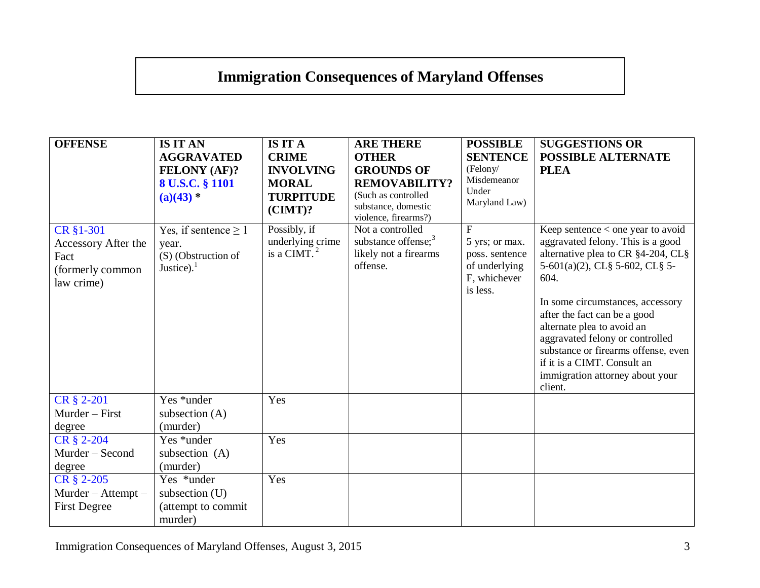## **Immigration Consequences of Maryland Offenses**

| <b>OFFENSE</b>                                                             | <b>IS IT AN</b><br><b>AGGRAVATED</b><br>FELONY (AF)?<br>8 U.S.C. § 1101<br>$(a)(43) *$ | <b>IS IT A</b><br><b>CRIME</b><br><b>INVOLVING</b><br><b>MORAL</b><br><b>TURPITUDE</b><br>$(CIMT)$ ? | <b>ARE THERE</b><br><b>OTHER</b><br><b>GROUNDS OF</b><br><b>REMOVABILITY?</b><br>(Such as controlled<br>substance, domestic | <b>POSSIBLE</b><br><b>SENTENCE</b><br>(Felony/<br>Misdemeanor<br>Under<br>Maryland Law) | <b>SUGGESTIONS OR</b><br><b>POSSIBLE ALTERNATE</b><br><b>PLEA</b>                                                                                                                                                                                                                                                                                                                                                   |
|----------------------------------------------------------------------------|----------------------------------------------------------------------------------------|------------------------------------------------------------------------------------------------------|-----------------------------------------------------------------------------------------------------------------------------|-----------------------------------------------------------------------------------------|---------------------------------------------------------------------------------------------------------------------------------------------------------------------------------------------------------------------------------------------------------------------------------------------------------------------------------------------------------------------------------------------------------------------|
| CR §1-301<br>Accessory After the<br>Fact<br>(formerly common<br>law crime) | Yes, if sentence $\geq 1$<br>year.<br>(S) (Obstruction of<br>Justice). $1$             | Possibly, if<br>underlying crime<br>is a CIMT. $2$                                                   | violence, firearms?)<br>Not a controlled<br>substance offense; $3$<br>likely not a firearms<br>offense.                     | F<br>5 yrs; or max.<br>poss. sentence<br>of underlying<br>F, whichever<br>is less.      | Keep sentence $\lt$ one year to avoid<br>aggravated felony. This is a good<br>alternative plea to CR §4-204, CL§<br>5-601(a)(2), CL§ 5-602, CL§ 5-<br>604.<br>In some circumstances, accessory<br>after the fact can be a good<br>alternate plea to avoid an<br>aggravated felony or controlled<br>substance or firearms offense, even<br>if it is a CIMT. Consult an<br>immigration attorney about your<br>client. |
| CR § 2-201<br>Murder - First<br>degree                                     | Yes *under<br>subsection $(A)$<br>(murder)                                             | Yes                                                                                                  |                                                                                                                             |                                                                                         |                                                                                                                                                                                                                                                                                                                                                                                                                     |
| CR § 2-204<br>Murder - Second<br>degree                                    | Yes *under<br>subsection (A)<br>(murder)                                               | Yes                                                                                                  |                                                                                                                             |                                                                                         |                                                                                                                                                                                                                                                                                                                                                                                                                     |
| CR § 2-205<br>Murder - Attempt -<br><b>First Degree</b>                    | Yes *under<br>subsection $(U)$<br>(attempt to commit<br>murder)                        | Yes                                                                                                  |                                                                                                                             |                                                                                         |                                                                                                                                                                                                                                                                                                                                                                                                                     |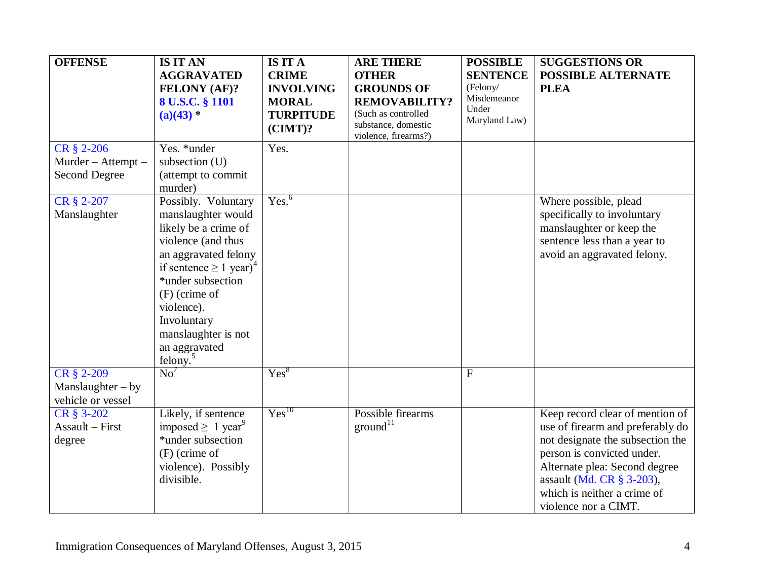<span id="page-3-0"></span>

| <b>OFFENSE</b>                                         | <b>IS IT AN</b><br><b>AGGRAVATED</b><br><b>FELONY (AF)?</b><br>8 U.S.C. § 1101<br>$(a)(43)$ *                                                                                                                                                                                                   | <b>IS IT A</b><br><b>CRIME</b><br><b>INVOLVING</b><br><b>MORAL</b><br><b>TURPITUDE</b> | <b>ARE THERE</b><br><b>OTHER</b><br><b>GROUNDS OF</b><br><b>REMOVABILITY?</b><br>(Such as controlled<br>substance, domestic | <b>POSSIBLE</b><br><b>SENTENCE</b><br>(Felony/<br>Misdemeanor<br>Under<br>Maryland Law) | <b>SUGGESTIONS OR</b><br><b>POSSIBLE ALTERNATE</b><br><b>PLEA</b>                                                                                                                                                                                          |
|--------------------------------------------------------|-------------------------------------------------------------------------------------------------------------------------------------------------------------------------------------------------------------------------------------------------------------------------------------------------|----------------------------------------------------------------------------------------|-----------------------------------------------------------------------------------------------------------------------------|-----------------------------------------------------------------------------------------|------------------------------------------------------------------------------------------------------------------------------------------------------------------------------------------------------------------------------------------------------------|
| CR § 2-206                                             | Yes. *under                                                                                                                                                                                                                                                                                     | $(CIMT)$ ?<br>Yes.                                                                     | violence, firearms?)                                                                                                        |                                                                                         |                                                                                                                                                                                                                                                            |
| Murder - Attempt -<br><b>Second Degree</b>             | subsection (U)<br>(attempt to commit<br>murder)                                                                                                                                                                                                                                                 |                                                                                        |                                                                                                                             |                                                                                         |                                                                                                                                                                                                                                                            |
| CR § 2-207<br>Manslaughter                             | Possibly. Voluntary<br>manslaughter would<br>likely be a crime of<br>violence (and thus<br>an aggravated felony<br>if sentence $\geq 1$ year) <sup>4</sup><br>*under subsection<br>$(F)$ (crime of<br>violence).<br>Involuntary<br>manslaughter is not<br>an aggravated<br>felong. <sup>5</sup> | Yes. <sup>6</sup>                                                                      |                                                                                                                             |                                                                                         | Where possible, plead<br>specifically to involuntary<br>manslaughter or keep the<br>sentence less than a year to<br>avoid an aggravated felony.                                                                                                            |
| CR § 2-209<br>$Manslaughter - by$<br>vehicle or vessel | $\overline{No}^7$                                                                                                                                                                                                                                                                               | Yes <sup>8</sup>                                                                       |                                                                                                                             | $\mathbf{F}$                                                                            |                                                                                                                                                                                                                                                            |
| CR § 3-202<br>Assault - First<br>degree                | Likely, if sentence<br>imposed $\geq 1$ year <sup>9</sup><br>*under subsection<br>$(F)$ (crime of<br>violence). Possibly<br>divisible.                                                                                                                                                          | $Yes^{10}$                                                                             | Possible firearms<br>ground <sup>11</sup>                                                                                   |                                                                                         | Keep record clear of mention of<br>use of firearm and preferably do<br>not designate the subsection the<br>person is convicted under.<br>Alternate plea: Second degree<br>assault (Md. CR § 3-203),<br>which is neither a crime of<br>violence nor a CIMT. |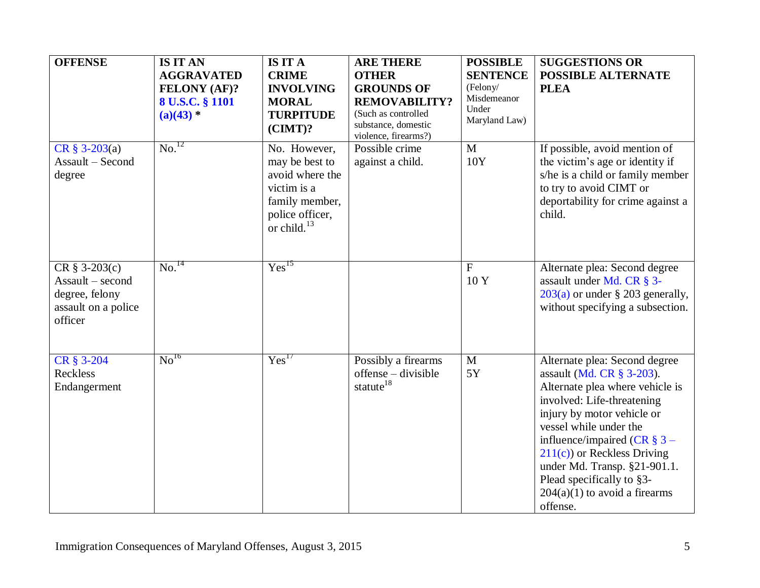<span id="page-4-0"></span>

| <b>OFFENSE</b>                                                                           | <b>IS IT AN</b><br><b>AGGRAVATED</b><br>FELONY (AF)?<br>8 U.S.C. § 1101<br>$(a)(43)$ * | <b>IS IT A</b><br><b>CRIME</b><br><b>INVOLVING</b><br><b>MORAL</b><br><b>TURPITUDE</b><br>$(CIMT)$ ?                       | <b>ARE THERE</b><br><b>OTHER</b><br><b>GROUNDS OF</b><br><b>REMOVABILITY?</b><br>(Such as controlled<br>substance, domestic<br>violence, firearms?) | <b>POSSIBLE</b><br><b>SENTENCE</b><br>(Felony/<br>Misdemeanor<br>Under<br>Maryland Law) | <b>SUGGESTIONS OR</b><br><b>POSSIBLE ALTERNATE</b><br><b>PLEA</b>                                                                                                                                                                                                                                                                                                  |
|------------------------------------------------------------------------------------------|----------------------------------------------------------------------------------------|----------------------------------------------------------------------------------------------------------------------------|-----------------------------------------------------------------------------------------------------------------------------------------------------|-----------------------------------------------------------------------------------------|--------------------------------------------------------------------------------------------------------------------------------------------------------------------------------------------------------------------------------------------------------------------------------------------------------------------------------------------------------------------|
| $CR \S 3-203(a)$<br>Assault - Second<br>degree                                           | $\overline{\text{No.}}^{12}$                                                           | No. However,<br>may be best to<br>avoid where the<br>victim is a<br>family member,<br>police officer,<br>or child. $^{13}$ | Possible crime<br>against a child.                                                                                                                  | $\mathbf{M}$<br>10Y                                                                     | If possible, avoid mention of<br>the victim's age or identity if<br>s/he is a child or family member<br>to try to avoid CIMT or<br>deportability for crime against a<br>child.                                                                                                                                                                                     |
| $CR \S 3-203(c)$<br>Assault – second<br>degree, felony<br>assault on a police<br>officer | $\overline{\text{No.}}^{14}$                                                           | Yes <sup>15</sup>                                                                                                          |                                                                                                                                                     | $\overline{F}$<br>10 Y                                                                  | Alternate plea: Second degree<br>assault under Md. CR § 3-<br>$203(a)$ or under § 203 generally,<br>without specifying a subsection.                                                                                                                                                                                                                               |
| CR § 3-204<br>Reckless<br>Endangerment                                                   | No <sup>16</sup>                                                                       | Yes <sup>17</sup>                                                                                                          | Possibly a firearms<br>offense – divisible<br>statute <sup>18</sup>                                                                                 | $\mathbf{M}$<br>5Y                                                                      | Alternate plea: Second degree<br>assault (Md. CR § 3-203).<br>Alternate plea where vehicle is<br>involved: Life-threatening<br>injury by motor vehicle or<br>vessel while under the<br>influence/impaired (CR $\S 3 -$<br>$211(c)$ or Reckless Driving<br>under Md. Transp. §21-901.1.<br>Plead specifically to §3-<br>$204(a)(1)$ to avoid a firearms<br>offense. |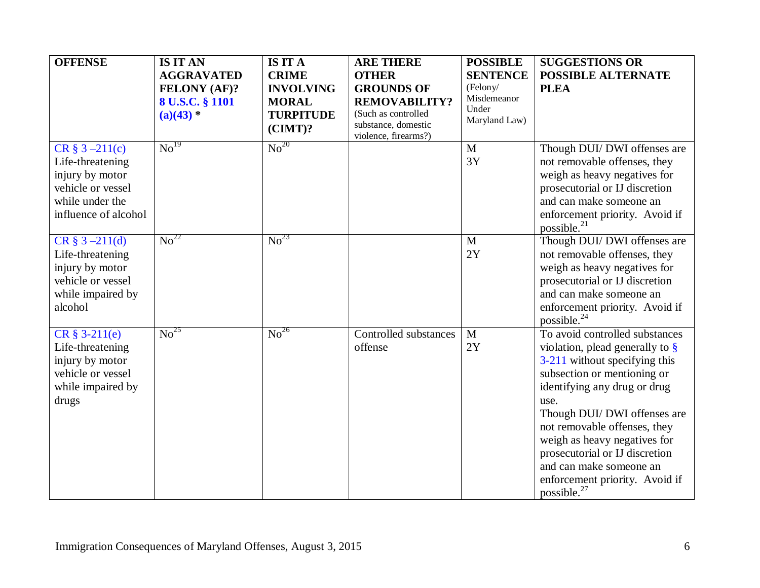| <b>OFFENSE</b>                                                                                                            | <b>IS IT AN</b><br><b>AGGRAVATED</b><br><b>FELONY (AF)?</b><br>8 U.S.C. § 1101<br>$(a)(43)$ * | <b>IS IT A</b><br><b>CRIME</b><br><b>INVOLVING</b><br><b>MORAL</b><br><b>TURPITUDE</b><br>$(CIMT)$ ? | <b>ARE THERE</b><br><b>OTHER</b><br><b>GROUNDS OF</b><br><b>REMOVABILITY?</b><br>(Such as controlled<br>substance, domestic<br>violence, firearms?) | <b>POSSIBLE</b><br><b>SENTENCE</b><br>(Felony/<br>Misdemeanor<br>Under<br>Maryland Law) | <b>SUGGESTIONS OR</b><br><b>POSSIBLE ALTERNATE</b><br><b>PLEA</b>                                                                                                                                                                                                                                                                                                                                      |
|---------------------------------------------------------------------------------------------------------------------------|-----------------------------------------------------------------------------------------------|------------------------------------------------------------------------------------------------------|-----------------------------------------------------------------------------------------------------------------------------------------------------|-----------------------------------------------------------------------------------------|--------------------------------------------------------------------------------------------------------------------------------------------------------------------------------------------------------------------------------------------------------------------------------------------------------------------------------------------------------------------------------------------------------|
| $CR \S 3 - 211(c)$<br>Life-threatening<br>injury by motor<br>vehicle or vessel<br>while under the<br>influence of alcohol | $\mathrm{No}^{19}$                                                                            | $\mathrm{No}^{20}$                                                                                   |                                                                                                                                                     | $\mathbf{M}$<br>3Y                                                                      | Though DUI/ DWI offenses are<br>not removable offenses, they<br>weigh as heavy negatives for<br>prosecutorial or IJ discretion<br>and can make someone an<br>enforcement priority. Avoid if<br>possible. $^{21}$                                                                                                                                                                                       |
| $CR \S 3 - 211(d)$<br>Life-threatening<br>injury by motor<br>vehicle or vessel<br>while impaired by<br>alcohol            | $\mathrm{No}^{22}$                                                                            | $\overline{\text{No}}^{23}$                                                                          |                                                                                                                                                     | $\mathbf{M}$<br>2Y                                                                      | Though DUI/ DWI offenses are<br>not removable offenses, they<br>weigh as heavy negatives for<br>prosecutorial or IJ discretion<br>and can make someone an<br>enforcement priority. Avoid if<br>possible. <sup>24</sup>                                                                                                                                                                                 |
| $CR \S 3-211(e)$<br>Life-threatening<br>injury by motor<br>vehicle or vessel<br>while impaired by<br>drugs                | $\mathrm{No}^{25}$                                                                            | $\overline{\text{No}}^{26}$                                                                          | Controlled substances<br>offense                                                                                                                    | $\mathbf{M}$<br>2Y                                                                      | To avoid controlled substances<br>violation, plead generally to $\S$<br>3-211 without specifying this<br>subsection or mentioning or<br>identifying any drug or drug<br>use.<br>Though DUI/ DWI offenses are<br>not removable offenses, they<br>weigh as heavy negatives for<br>prosecutorial or IJ discretion<br>and can make someone an<br>enforcement priority. Avoid if<br>possible. <sup>27</sup> |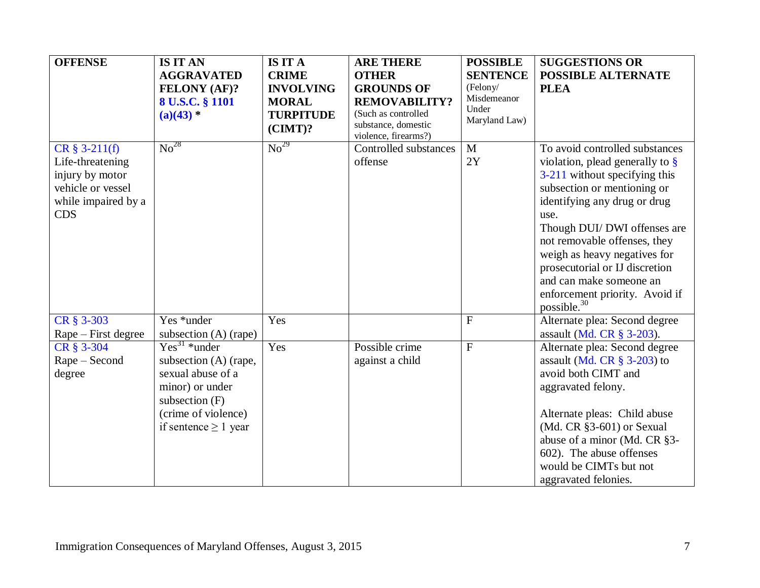| <b>OFFENSE</b>                                                                                                    | <b>IS IT AN</b><br><b>AGGRAVATED</b><br><b>FELONY (AF)?</b><br>8 U.S.C. § 1101<br>$(a)(43)$ *                                                           | <b>IS IT A</b><br><b>CRIME</b><br><b>INVOLVING</b><br><b>MORAL</b><br><b>TURPITUDE</b><br>$(CIMT)$ ? | <b>ARE THERE</b><br><b>OTHER</b><br><b>GROUNDS OF</b><br><b>REMOVABILITY?</b><br>(Such as controlled<br>substance, domestic<br>violence, firearms?) | <b>POSSIBLE</b><br><b>SENTENCE</b><br>(Felony/<br>Misdemeanor<br>Under<br>Maryland Law) | <b>SUGGESTIONS OR</b><br><b>POSSIBLE ALTERNATE</b><br><b>PLEA</b>                                                                                                                                                                                                                                                                                                                                      |
|-------------------------------------------------------------------------------------------------------------------|---------------------------------------------------------------------------------------------------------------------------------------------------------|------------------------------------------------------------------------------------------------------|-----------------------------------------------------------------------------------------------------------------------------------------------------|-----------------------------------------------------------------------------------------|--------------------------------------------------------------------------------------------------------------------------------------------------------------------------------------------------------------------------------------------------------------------------------------------------------------------------------------------------------------------------------------------------------|
| $CR \S 3-211(f)$<br>Life-threatening<br>injury by motor<br>vehicle or vessel<br>while impaired by a<br><b>CDS</b> | $\mathrm{No}^{28}$                                                                                                                                      | No <sup>29</sup>                                                                                     | Controlled substances<br>offense                                                                                                                    | M<br>2Y                                                                                 | To avoid controlled substances<br>violation, plead generally to $\S$<br>3-211 without specifying this<br>subsection or mentioning or<br>identifying any drug or drug<br>use.<br>Though DUI/ DWI offenses are<br>not removable offenses, they<br>weigh as heavy negatives for<br>prosecutorial or IJ discretion<br>and can make someone an<br>enforcement priority. Avoid if<br>possible. <sup>30</sup> |
| CR § 3-303<br>Rape – First degree                                                                                 | Yes *under<br>subsection $(A)$ (rape)                                                                                                                   | Yes                                                                                                  |                                                                                                                                                     | $\mathbf F$                                                                             | Alternate plea: Second degree<br>assault (Md. CR § 3-203).                                                                                                                                                                                                                                                                                                                                             |
| CR § 3-304<br>Rape – Second<br>degree                                                                             | $Yes31 *under$<br>subsection (A) (rape,<br>sexual abuse of a<br>minor) or under<br>subsection $(F)$<br>(crime of violence)<br>if sentence $\geq 1$ year | Yes                                                                                                  | Possible crime<br>against a child                                                                                                                   | $\mathbf F$                                                                             | Alternate plea: Second degree<br>assault (Md. CR $\S$ 3-203) to<br>avoid both CIMT and<br>aggravated felony.<br>Alternate pleas: Child abuse<br>(Md. CR §3-601) or Sexual<br>abuse of a minor (Md. CR §3-<br>602). The abuse offenses<br>would be CIMTs but not<br>aggravated felonies.                                                                                                                |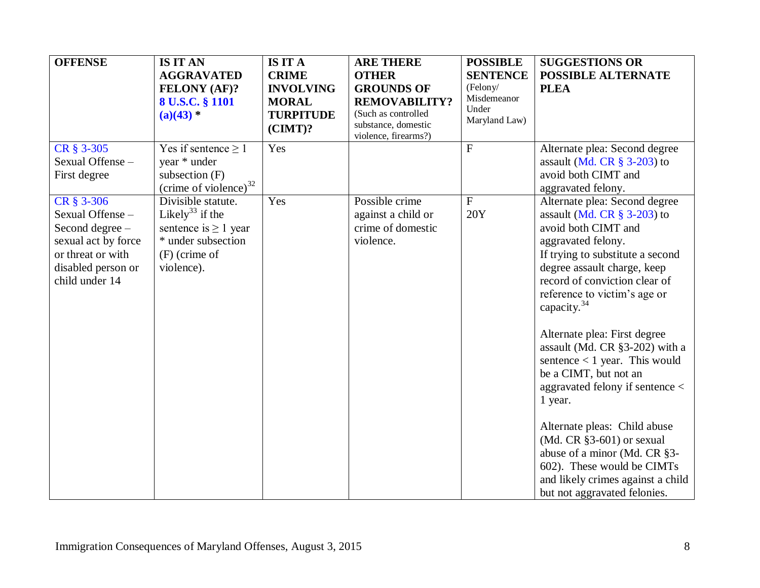| <b>OFFENSE</b>                                                                                                                       | <b>IS IT AN</b><br><b>AGGRAVATED</b><br><b>FELONY (AF)?</b><br>8 U.S.C. § 1101<br>$(a)(43)$ *                                         | <b>IS IT A</b><br><b>CRIME</b><br><b>INVOLVING</b><br><b>MORAL</b><br><b>TURPITUDE</b><br>$(CIMT)$ ? | <b>ARE THERE</b><br><b>OTHER</b><br><b>GROUNDS OF</b><br><b>REMOVABILITY?</b><br>(Such as controlled<br>substance, domestic<br>violence, firearms?) | <b>POSSIBLE</b><br><b>SENTENCE</b><br>(Felony/<br>Misdemeanor<br>Under<br>Maryland Law) | <b>SUGGESTIONS OR</b><br><b>POSSIBLE ALTERNATE</b><br><b>PLEA</b>                                                                                                                                                                                                                                                                                                                                                                                                                                                                                                                                                                                |
|--------------------------------------------------------------------------------------------------------------------------------------|---------------------------------------------------------------------------------------------------------------------------------------|------------------------------------------------------------------------------------------------------|-----------------------------------------------------------------------------------------------------------------------------------------------------|-----------------------------------------------------------------------------------------|--------------------------------------------------------------------------------------------------------------------------------------------------------------------------------------------------------------------------------------------------------------------------------------------------------------------------------------------------------------------------------------------------------------------------------------------------------------------------------------------------------------------------------------------------------------------------------------------------------------------------------------------------|
| CR § 3-305<br>Sexual Offense -<br>First degree                                                                                       | Yes if sentence $\geq 1$<br>year * under<br>subsection (F)<br>(crime of violence) $32$                                                | Yes                                                                                                  |                                                                                                                                                     | $\mathbf{F}$                                                                            | Alternate plea: Second degree<br>assault (Md. CR $\S$ 3-203) to<br>avoid both CIMT and<br>aggravated felony.                                                                                                                                                                                                                                                                                                                                                                                                                                                                                                                                     |
| CR § 3-306<br>Sexual Offense-<br>Second degree -<br>sexual act by force<br>or threat or with<br>disabled person or<br>child under 14 | Divisible statute.<br>Likely <sup>33</sup> if the<br>sentence is $\geq 1$ year<br>* under subsection<br>$(F)$ (crime of<br>violence). | Yes                                                                                                  | Possible crime<br>against a child or<br>crime of domestic<br>violence.                                                                              | $\mathbf{F}$<br>20Y                                                                     | Alternate plea: Second degree<br>assault (Md. CR $\S$ 3-203) to<br>avoid both CIMT and<br>aggravated felony.<br>If trying to substitute a second<br>degree assault charge, keep<br>record of conviction clear of<br>reference to victim's age or<br>capacity. $34$<br>Alternate plea: First degree<br>assault (Md. CR §3-202) with a<br>sentence $< 1$ year. This would<br>be a CIMT, but not an<br>aggravated felony if sentence <<br>1 year.<br>Alternate pleas: Child abuse<br>$(Md. CR §3-601)$ or sexual<br>abuse of a minor (Md. CR §3-<br>602). These would be CIMTs<br>and likely crimes against a child<br>but not aggravated felonies. |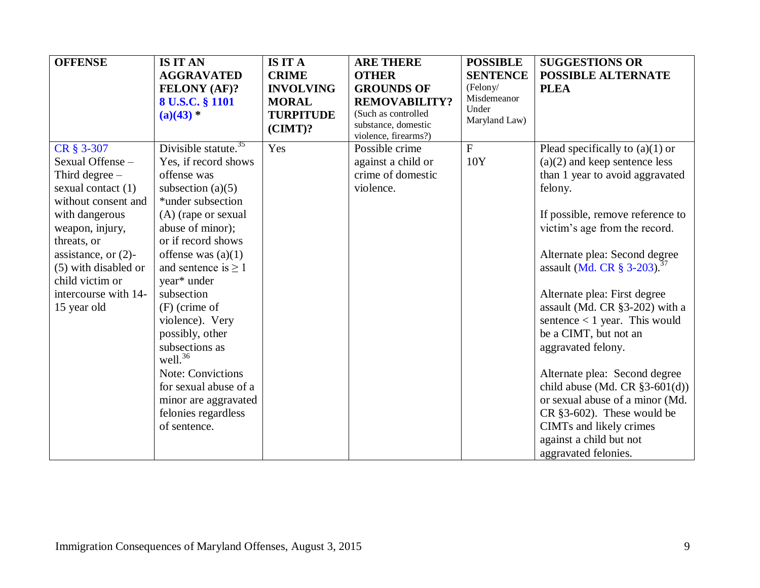| <b>OFFENSE</b>                                                                                                                                                                                                                                                  | <b>IS IT AN</b><br><b>AGGRAVATED</b><br><b>FELONY (AF)?</b><br>8 U.S.C. § 1101<br>$(a)(43)$ *                                                                                                                                                                                                                                                                                                                                                                             | <b>IS IT A</b><br><b>CRIME</b><br><b>INVOLVING</b><br><b>MORAL</b><br><b>TURPITUDE</b><br>$(CIMT)$ ? | <b>ARE THERE</b><br><b>OTHER</b><br><b>GROUNDS OF</b><br><b>REMOVABILITY?</b><br>(Such as controlled<br>substance, domestic<br>violence, firearms?) | <b>POSSIBLE</b><br><b>SENTENCE</b><br>(Felony/<br>Misdemeanor<br>Under<br>Maryland Law) | <b>SUGGESTIONS OR</b><br><b>POSSIBLE ALTERNATE</b><br><b>PLEA</b>                                                                                                                                                                                                                                                                                                                                                                                                                                                                                                                                                                                         |
|-----------------------------------------------------------------------------------------------------------------------------------------------------------------------------------------------------------------------------------------------------------------|---------------------------------------------------------------------------------------------------------------------------------------------------------------------------------------------------------------------------------------------------------------------------------------------------------------------------------------------------------------------------------------------------------------------------------------------------------------------------|------------------------------------------------------------------------------------------------------|-----------------------------------------------------------------------------------------------------------------------------------------------------|-----------------------------------------------------------------------------------------|-----------------------------------------------------------------------------------------------------------------------------------------------------------------------------------------------------------------------------------------------------------------------------------------------------------------------------------------------------------------------------------------------------------------------------------------------------------------------------------------------------------------------------------------------------------------------------------------------------------------------------------------------------------|
| CR § 3-307<br>Sexual Offense -<br>Third degree $-$<br>sexual contact (1)<br>without consent and<br>with dangerous<br>weapon, injury,<br>threats, or<br>assistance, or $(2)$ -<br>(5) with disabled or<br>child victim or<br>intercourse with 14-<br>15 year old | Divisible statute. $35$<br>Yes, if record shows<br>offense was<br>subsection $(a)(5)$<br>*under subsection<br>(A) (rape or sexual<br>abuse of minor);<br>or if record shows<br>offense was $(a)(1)$<br>and sentence is $\geq 1$<br>year* under<br>subsection<br>$(F)$ (crime of<br>violence). Very<br>possibly, other<br>subsections as<br>well. $36$<br><b>Note: Convictions</b><br>for sexual abuse of a<br>minor are aggravated<br>felonies regardless<br>of sentence. | Yes                                                                                                  | Possible crime<br>against a child or<br>crime of domestic<br>violence.                                                                              | $\mathbf{F}$<br>10Y                                                                     | Plead specifically to $(a)(1)$ or<br>$(a)(2)$ and keep sentence less<br>than 1 year to avoid aggravated<br>felony.<br>If possible, remove reference to<br>victim's age from the record.<br>Alternate plea: Second degree<br>assault (Md. CR $\S 3{\text -}203$ ). <sup>37</sup><br>Alternate plea: First degree<br>assault (Md. CR §3-202) with a<br>sentence $< 1$ year. This would<br>be a CIMT, but not an<br>aggravated felony.<br>Alternate plea: Second degree<br>child abuse (Md. CR $§3-601(d))$<br>or sexual abuse of a minor (Md.<br>$CR$ §3-602). These would be<br>CIMTs and likely crimes<br>against a child but not<br>aggravated felonies. |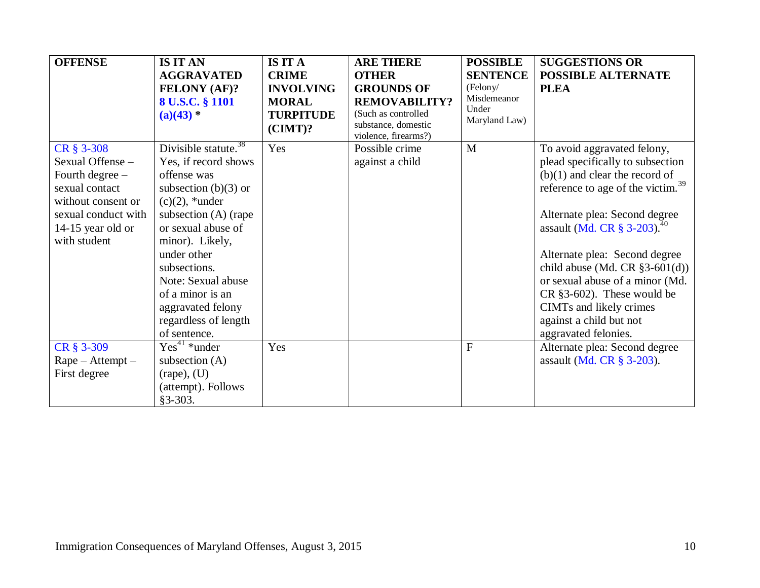| <b>OFFENSE</b>                           | <b>IS IT AN</b><br><b>AGGRAVATED</b><br><b>FELONY (AF)?</b><br>8 U.S.C. § 1101<br>$(a)(43)$ * | <b>IS IT A</b><br><b>CRIME</b><br><b>INVOLVING</b><br><b>MORAL</b><br><b>TURPITUDE</b><br>$(CIMT)$ ? | <b>ARE THERE</b><br><b>OTHER</b><br><b>GROUNDS OF</b><br><b>REMOVABILITY?</b><br>(Such as controlled<br>substance, domestic | <b>POSSIBLE</b><br><b>SENTENCE</b><br>(Felony/<br>Misdemeanor<br>Under<br>Maryland Law) | <b>SUGGESTIONS OR</b><br><b>POSSIBLE ALTERNATE</b><br><b>PLEA</b>            |
|------------------------------------------|-----------------------------------------------------------------------------------------------|------------------------------------------------------------------------------------------------------|-----------------------------------------------------------------------------------------------------------------------------|-----------------------------------------------------------------------------------------|------------------------------------------------------------------------------|
|                                          | Divisible statute. $38$                                                                       |                                                                                                      | violence, firearms?)                                                                                                        | M                                                                                       |                                                                              |
| CR § 3-308<br>Sexual Offense -           | Yes, if record shows                                                                          | Yes                                                                                                  | Possible crime<br>against a child                                                                                           |                                                                                         | To avoid aggravated felony,<br>plead specifically to subsection              |
| Fourth degree -                          | offense was                                                                                   |                                                                                                      |                                                                                                                             |                                                                                         | $(b)(1)$ and clear the record of                                             |
| sexual contact                           | subsection $(b)(3)$ or                                                                        |                                                                                                      |                                                                                                                             |                                                                                         | reference to age of the victim. <sup>39</sup>                                |
| without consent or                       | $(c)(2)$ , *under                                                                             |                                                                                                      |                                                                                                                             |                                                                                         |                                                                              |
| sexual conduct with<br>14-15 year old or | subsection $(A)$ (rape<br>or sexual abuse of                                                  |                                                                                                      |                                                                                                                             |                                                                                         | Alternate plea: Second degree<br>assault (Md. CR $\S 3-203$ ). <sup>40</sup> |
| with student                             | minor). Likely,                                                                               |                                                                                                      |                                                                                                                             |                                                                                         |                                                                              |
|                                          | under other                                                                                   |                                                                                                      |                                                                                                                             |                                                                                         | Alternate plea: Second degree                                                |
|                                          | subsections.                                                                                  |                                                                                                      |                                                                                                                             |                                                                                         | child abuse (Md. CR $\S3-601(d)$ )                                           |
|                                          | Note: Sexual abuse<br>of a minor is an                                                        |                                                                                                      |                                                                                                                             |                                                                                         | or sexual abuse of a minor (Md.                                              |
|                                          | aggravated felony                                                                             |                                                                                                      |                                                                                                                             |                                                                                         | $CR$ §3-602). These would be<br>CIMTs and likely crimes                      |
|                                          | regardless of length                                                                          |                                                                                                      |                                                                                                                             |                                                                                         | against a child but not                                                      |
|                                          | of sentence.                                                                                  |                                                                                                      |                                                                                                                             |                                                                                         | aggravated felonies.                                                         |
| CR § 3-309                               | $Yes41 *under$                                                                                | Yes                                                                                                  |                                                                                                                             | $\mathbf F$                                                                             | Alternate plea: Second degree                                                |
| $Rape - Attempt -$                       | subsection $(A)$                                                                              |                                                                                                      |                                                                                                                             |                                                                                         | assault (Md. CR § 3-203).                                                    |
| First degree                             | $(\text{rape})$ , $(U)$                                                                       |                                                                                                      |                                                                                                                             |                                                                                         |                                                                              |
|                                          | (attempt). Follows<br>$§3 - 303.$                                                             |                                                                                                      |                                                                                                                             |                                                                                         |                                                                              |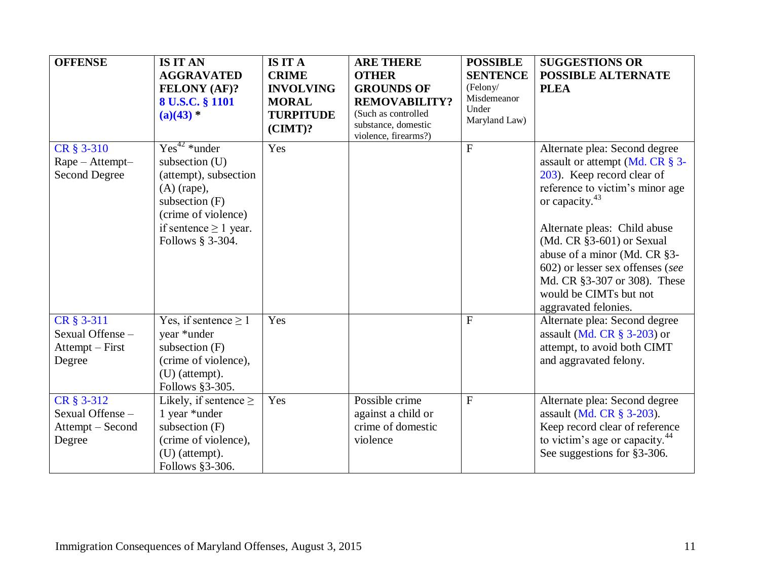| <b>OFFENSE</b>                                               | <b>IS IT AN</b><br><b>AGGRAVATED</b><br>FELONY (AF)?<br>8 U.S.C. § 1101<br>$(a)(43)$ *                                                                                      | <b>IS IT A</b><br><b>CRIME</b><br><b>INVOLVING</b><br><b>MORAL</b><br><b>TURPITUDE</b><br>$(CIMT)$ ? | <b>ARE THERE</b><br><b>OTHER</b><br><b>GROUNDS OF</b><br><b>REMOVABILITY?</b><br>(Such as controlled<br>substance, domestic<br>violence, firearms?) | <b>POSSIBLE</b><br><b>SENTENCE</b><br>(Felony/<br>Misdemeanor<br>Under<br>Maryland Law) | <b>SUGGESTIONS OR</b><br><b>POSSIBLE ALTERNATE</b><br><b>PLEA</b>                                                                                                                                                                                                                                                                                                                    |
|--------------------------------------------------------------|-----------------------------------------------------------------------------------------------------------------------------------------------------------------------------|------------------------------------------------------------------------------------------------------|-----------------------------------------------------------------------------------------------------------------------------------------------------|-----------------------------------------------------------------------------------------|--------------------------------------------------------------------------------------------------------------------------------------------------------------------------------------------------------------------------------------------------------------------------------------------------------------------------------------------------------------------------------------|
| CR § 3-310<br>Rape - Attempt-<br><b>Second Degree</b>        | $Yes^{42} * under$<br>subsection (U)<br>(attempt), subsection<br>$(A)$ (rape),<br>subsection $(F)$<br>(crime of violence)<br>if sentence $\geq 1$ year.<br>Follows § 3-304. | Yes                                                                                                  |                                                                                                                                                     | $\mathbf{F}$                                                                            | Alternate plea: Second degree<br>assault or attempt (Md. CR § 3-<br>203). Keep record clear of<br>reference to victim's minor age<br>or capacity. <sup>43</sup><br>Alternate pleas: Child abuse<br>$(Md. CR §3-601)$ or Sexual<br>abuse of a minor (Md. CR §3-<br>602) or lesser sex offenses (see<br>Md. CR §3-307 or 308). These<br>would be CIMTs but not<br>aggravated felonies. |
| CR § 3-311<br>Sexual Offense -<br>Attempt – First<br>Degree  | Yes, if sentence $\geq 1$<br>year *under<br>subsection $(F)$<br>(crime of violence),<br>$(U)$ (attempt).<br>Follows §3-305.                                                 | Yes                                                                                                  |                                                                                                                                                     | F                                                                                       | Alternate plea: Second degree<br>assault (Md. CR § 3-203) or<br>attempt, to avoid both CIMT<br>and aggravated felony.                                                                                                                                                                                                                                                                |
| CR § 3-312<br>Sexual Offense -<br>Attempt - Second<br>Degree | Likely, if sentence $\geq$<br>1 year *under<br>subsection $(F)$<br>(crime of violence),<br>$(U)$ (attempt).<br>Follows §3-306.                                              | Yes                                                                                                  | Possible crime<br>against a child or<br>crime of domestic<br>violence                                                                               | F                                                                                       | Alternate plea: Second degree<br>assault (Md. CR § 3-203).<br>Keep record clear of reference<br>to victim's age or capacity. <sup>44</sup><br>See suggestions for §3-306.                                                                                                                                                                                                            |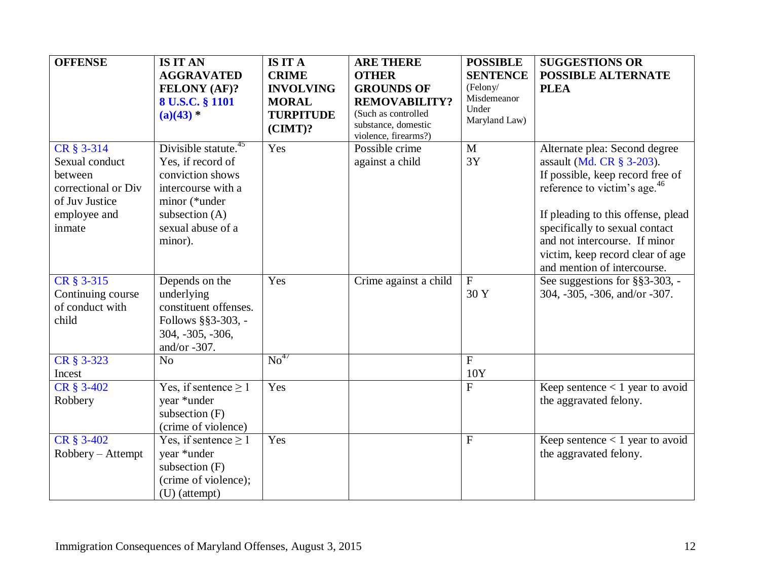| <b>OFFENSE</b>                                                                                             | <b>IS IT AN</b><br><b>AGGRAVATED</b><br><b>FELONY (AF)?</b><br>8 U.S.C. § 1101                                                                                     | <b>IS IT A</b><br><b>CRIME</b><br><b>INVOLVING</b><br><b>MORAL</b> | <b>ARE THERE</b><br><b>OTHER</b><br><b>GROUNDS OF</b><br><b>REMOVABILITY?</b> | <b>POSSIBLE</b><br><b>SENTENCE</b><br>(Felony/<br>Misdemeanor | <b>SUGGESTIONS OR</b><br><b>POSSIBLE ALTERNATE</b><br><b>PLEA</b>                                                                                                                                                                                                                                                      |
|------------------------------------------------------------------------------------------------------------|--------------------------------------------------------------------------------------------------------------------------------------------------------------------|--------------------------------------------------------------------|-------------------------------------------------------------------------------|---------------------------------------------------------------|------------------------------------------------------------------------------------------------------------------------------------------------------------------------------------------------------------------------------------------------------------------------------------------------------------------------|
|                                                                                                            | $(a)(43)$ *                                                                                                                                                        | <b>TURPITUDE</b><br>$(CIMT)$ ?                                     | (Such as controlled<br>substance, domestic<br>violence, firearms?)            | Under<br>Maryland Law)                                        |                                                                                                                                                                                                                                                                                                                        |
| CR § 3-314<br>Sexual conduct<br>between<br>correctional or Div<br>of Juv Justice<br>employee and<br>inmate | Divisible statute. <sup>45</sup><br>Yes, if record of<br>conviction shows<br>intercourse with a<br>minor (*under<br>subsection (A)<br>sexual abuse of a<br>minor). | Yes                                                                | Possible crime<br>against a child                                             | $\mathbf{M}$<br>3Y                                            | Alternate plea: Second degree<br>assault (Md. CR § 3-203).<br>If possible, keep record free of<br>reference to victim's age. <sup>46</sup><br>If pleading to this offense, plead<br>specifically to sexual contact<br>and not intercourse. If minor<br>victim, keep record clear of age<br>and mention of intercourse. |
| CR § 3-315<br>Continuing course<br>of conduct with<br>child                                                | Depends on the<br>underlying<br>constituent offenses.<br>Follows §§3-303, -<br>304, -305, -306,<br>and/or $-307$ .                                                 | Yes                                                                | Crime against a child                                                         | ${\bf F}$<br>30 Y                                             | See suggestions for §§3-303, -<br>304, -305, -306, and/or -307.                                                                                                                                                                                                                                                        |
| CR § 3-323<br>Incest                                                                                       | N <sub>o</sub>                                                                                                                                                     | $\mathrm{No}^{47}$                                                 |                                                                               | $\mathbf{F}$<br>10Y                                           |                                                                                                                                                                                                                                                                                                                        |
| CR § 3-402<br>Robbery                                                                                      | Yes, if sentence $\geq 1$<br>year *under<br>subsection $(F)$<br>(crime of violence)                                                                                | Yes                                                                |                                                                               | $\mathbf{F}$                                                  | Keep sentence $< 1$ year to avoid<br>the aggravated felony.                                                                                                                                                                                                                                                            |
| CR § 3-402<br>Robbery - Attempt                                                                            | Yes, if sentence $\geq 1$<br>year *under<br>subsection $(F)$<br>(crime of violence);<br>(U) (attempt)                                                              | Yes                                                                |                                                                               | $\overline{F}$                                                | Keep sentence $< 1$ year to avoid<br>the aggravated felony.                                                                                                                                                                                                                                                            |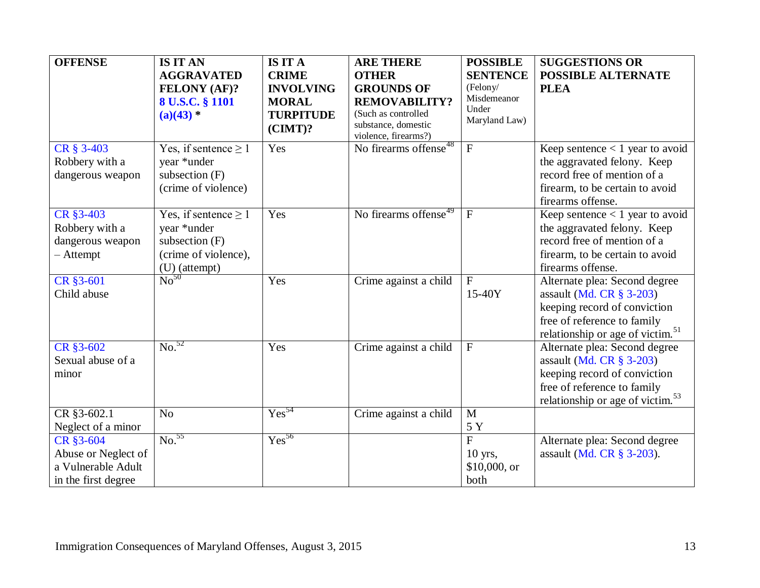| <b>OFFENSE</b>                                                                | <b>IS IT AN</b><br><b>AGGRAVATED</b><br><b>FELONY (AF)?</b><br>8 U.S.C. § 1101<br>$(a)(43)$ *         | <b>IS IT A</b><br><b>CRIME</b><br><b>INVOLVING</b><br><b>MORAL</b><br><b>TURPITUDE</b><br>$(CIMT)$ ? | <b>ARE THERE</b><br><b>OTHER</b><br><b>GROUNDS OF</b><br><b>REMOVABILITY?</b><br>(Such as controlled<br>substance, domestic<br>violence, firearms?) | <b>POSSIBLE</b><br><b>SENTENCE</b><br>(Felony/<br>Misdemeanor<br>Under<br>Maryland Law) | <b>SUGGESTIONS OR</b><br><b>POSSIBLE ALTERNATE</b><br><b>PLEA</b>                                                                                                           |
|-------------------------------------------------------------------------------|-------------------------------------------------------------------------------------------------------|------------------------------------------------------------------------------------------------------|-----------------------------------------------------------------------------------------------------------------------------------------------------|-----------------------------------------------------------------------------------------|-----------------------------------------------------------------------------------------------------------------------------------------------------------------------------|
| CR § 3-403<br>Robbery with a<br>dangerous weapon                              | Yes, if sentence $\geq 1$<br>year *under<br>subsection $(F)$<br>(crime of violence)                   | Yes                                                                                                  | No firearms offense <sup>48</sup>                                                                                                                   | $\boldsymbol{\mathrm{F}}$                                                               | Keep sentence $< 1$ year to avoid<br>the aggravated felony. Keep<br>record free of mention of a<br>firearm, to be certain to avoid<br>firearms offense.                     |
| CR §3-403<br>Robbery with a<br>dangerous weapon<br>$-$ Attempt                | Yes, if sentence $\geq 1$<br>year *under<br>subsection $(F)$<br>(crime of violence),<br>(U) (attempt) | Yes                                                                                                  | No firearms offense <sup>49</sup>                                                                                                                   | $\mathbf F$                                                                             | Keep sentence $< 1$ year to avoid<br>the aggravated felony. Keep<br>record free of mention of a<br>firearm, to be certain to avoid<br>firearms offense.                     |
| CR §3-601<br>Child abuse                                                      | No <sup>50</sup>                                                                                      | Yes                                                                                                  | Crime against a child                                                                                                                               | ${\bf F}$<br>15-40Y                                                                     | Alternate plea: Second degree<br>assault (Md. CR $\S$ 3-203)<br>keeping record of conviction<br>free of reference to family<br>relationship or age of victim. <sup>51</sup> |
| CR §3-602<br>Sexual abuse of a<br>minor                                       | No. <sup>52</sup>                                                                                     | Yes                                                                                                  | Crime against a child                                                                                                                               | $\mathbf{F}$                                                                            | Alternate plea: Second degree<br>assault (Md. CR $\S$ 3-203)<br>keeping record of conviction<br>free of reference to family<br>relationship or age of victim. <sup>53</sup> |
| CR §3-602.1<br>Neglect of a minor                                             | N <sub>o</sub>                                                                                        | $Yes^{54}$                                                                                           | Crime against a child                                                                                                                               | $\mathbf{M}$<br>5 Y                                                                     |                                                                                                                                                                             |
| CR §3-604<br>Abuse or Neglect of<br>a Vulnerable Adult<br>in the first degree | No. <sup>55</sup>                                                                                     | $Yes^{56}$                                                                                           |                                                                                                                                                     | $\overline{F}$<br>$10$ yrs,<br>$$10,000$ , or<br>both                                   | Alternate plea: Second degree<br>assault (Md. CR § 3-203).                                                                                                                  |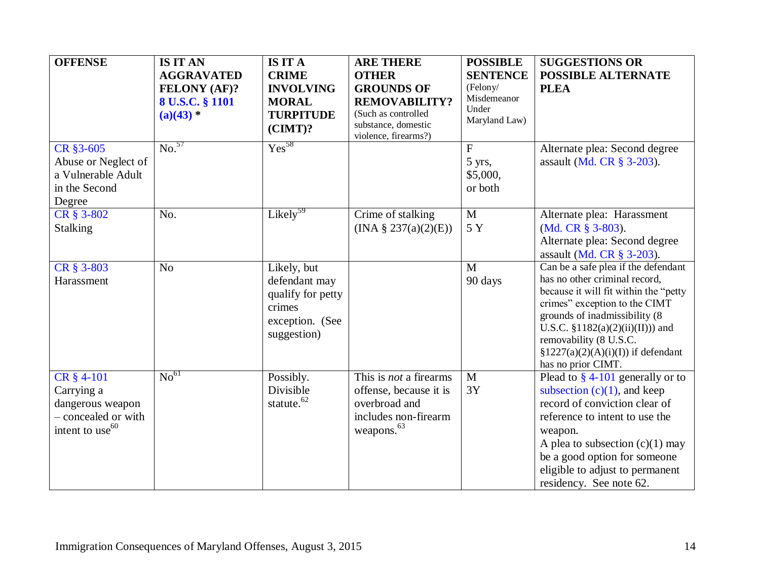<span id="page-13-0"></span>

| <b>OFFENSE</b>                                                                                     | <b>IS IT AN</b><br><b>AGGRAVATED</b><br><b>FELONY (AF)?</b><br>8 U.S.C. § 1101<br>$(a)(43)$ * | <b>IS IT A</b><br><b>CRIME</b><br><b>INVOLVING</b><br><b>MORAL</b><br><b>TURPITUDE</b><br>$(CIMT)$ ? | <b>ARE THERE</b><br><b>OTHER</b><br><b>GROUNDS OF</b><br><b>REMOVABILITY?</b><br>(Such as controlled<br>substance, domestic<br>violence, firearms?) | <b>POSSIBLE</b><br><b>SENTENCE</b><br>(Felony/<br>Misdemeanor<br>Under<br>Maryland Law) | <b>SUGGESTIONS OR</b><br>POSSIBLE ALTERNATE<br><b>PLEA</b>                                                                                                                                                                                                                                                       |
|----------------------------------------------------------------------------------------------------|-----------------------------------------------------------------------------------------------|------------------------------------------------------------------------------------------------------|-----------------------------------------------------------------------------------------------------------------------------------------------------|-----------------------------------------------------------------------------------------|------------------------------------------------------------------------------------------------------------------------------------------------------------------------------------------------------------------------------------------------------------------------------------------------------------------|
| CR §3-605<br>Abuse or Neglect of<br>a Vulnerable Adult<br>in the Second<br>Degree                  | $\overline{\text{No.}}^{57}$                                                                  | $Yes^{58}$                                                                                           |                                                                                                                                                     | $\mathbf{F}$<br>5 yrs,<br>\$5,000,<br>or both                                           | Alternate plea: Second degree<br>assault (Md. CR § 3-203).                                                                                                                                                                                                                                                       |
| CR § 3-802<br><b>Stalking</b>                                                                      | No.                                                                                           | Likely <sup>59</sup>                                                                                 | Crime of stalking<br>(INA § 237(a)(2)(E))                                                                                                           | $\mathbf{M}$<br>5 Y                                                                     | Alternate plea: Harassment<br>(Md. CR $\S$ 3-803).<br>Alternate plea: Second degree<br>assault (Md. CR § 3-203).                                                                                                                                                                                                 |
| CR § 3-803<br>Harassment                                                                           | N <sub>o</sub>                                                                                | Likely, but<br>defendant may<br>qualify for petty<br>crimes<br>exception. (See<br>suggestion)        |                                                                                                                                                     | $\mathbf{M}$<br>90 days                                                                 | Can be a safe plea if the defendant<br>has no other criminal record,<br>because it will fit within the "petty"<br>crimes" exception to the CIMT<br>grounds of inadmissibility (8)<br>U.S.C. $$1182(a)(2)(ii)(II))$ and<br>removability (8 U.S.C.<br>$\S 1227(a)(2)(A)(i)(I))$ if defendant<br>has no prior CIMT. |
| CR § 4-101<br>Carrying a<br>dangerous weapon<br>- concealed or with<br>intent to use <sup>60</sup> | No <sup>61</sup>                                                                              | Possibly.<br>Divisible<br>statute. <sup>62</sup>                                                     | This is <i>not</i> a firearms<br>offense, because it is<br>overbroad and<br>includes non-firearm<br>weapons. <sup>63</sup>                          | $\mathbf{M}$<br>3Y                                                                      | Plead to $\S$ 4-101 generally or to<br>subsection $(c)(1)$ , and keep<br>record of conviction clear of<br>reference to intent to use the<br>weapon.<br>A plea to subsection $(c)(1)$ may<br>be a good option for someone<br>eligible to adjust to permanent<br>residency. See note 62.                           |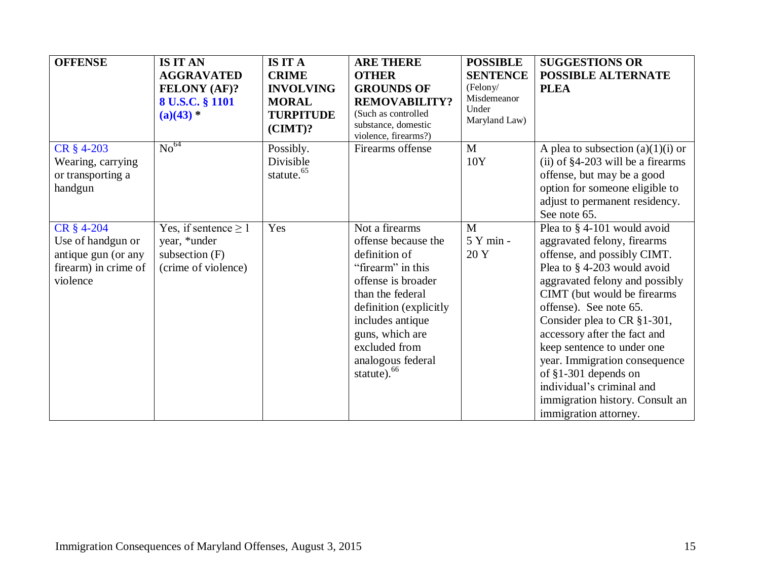<span id="page-14-0"></span>

| <b>OFFENSE</b>                                                                             | <b>IS IT AN</b><br><b>AGGRAVATED</b><br><b>FELONY (AF)?</b><br>8 U.S.C. § 1101<br>$(a)(43)$ * | <b>IS IT A</b><br><b>CRIME</b><br><b>INVOLVING</b><br><b>MORAL</b><br><b>TURPITUDE</b><br>$(CIMT)$ ? | <b>ARE THERE</b><br><b>OTHER</b><br><b>GROUNDS OF</b><br><b>REMOVABILITY?</b><br>(Such as controlled<br>substance, domestic<br>violence, firearms?)                                                                                                     | <b>POSSIBLE</b><br><b>SENTENCE</b><br>(Felony/<br>Misdemeanor<br>Under<br>Maryland Law) | <b>SUGGESTIONS OR</b><br>POSSIBLE ALTERNATE<br><b>PLEA</b>                                                                                                                                                                                                                                                                                                                                                                                                          |
|--------------------------------------------------------------------------------------------|-----------------------------------------------------------------------------------------------|------------------------------------------------------------------------------------------------------|---------------------------------------------------------------------------------------------------------------------------------------------------------------------------------------------------------------------------------------------------------|-----------------------------------------------------------------------------------------|---------------------------------------------------------------------------------------------------------------------------------------------------------------------------------------------------------------------------------------------------------------------------------------------------------------------------------------------------------------------------------------------------------------------------------------------------------------------|
| CR § 4-203<br>Wearing, carrying<br>or transporting a<br>handgun                            | $\mathrm{No}^{64}$                                                                            | Possibly.<br>Divisible<br>statute. <sup>65</sup>                                                     | Firearms offense                                                                                                                                                                                                                                        | M<br>10Y                                                                                | A plea to subsection $(a)(1)(i)$ or<br>(ii) of $§4-203$ will be a firearms<br>offense, but may be a good<br>option for someone eligible to<br>adjust to permanent residency.<br>See note 65.                                                                                                                                                                                                                                                                        |
| CR § 4-204<br>Use of handgun or<br>antique gun (or any<br>firearm) in crime of<br>violence | Yes, if sentence $\geq 1$<br>year, *under<br>subsection $(F)$<br>(crime of violence)          | Yes                                                                                                  | Not a firearms<br>offense because the<br>definition of<br>"firearm" in this<br>offense is broader<br>than the federal<br>definition (explicitly<br>includes antique<br>guns, which are<br>excluded from<br>analogous federal<br>statute). <sup>66</sup> | M<br>5 Y min -<br>20 Y                                                                  | Plea to §4-101 would avoid<br>aggravated felony, firearms<br>offense, and possibly CIMT.<br>Plea to §4-203 would avoid<br>aggravated felony and possibly<br>CIMT (but would be firearms)<br>offense). See note 65.<br>Consider plea to CR §1-301,<br>accessory after the fact and<br>keep sentence to under one<br>year. Immigration consequence<br>of $§1-301$ depends on<br>individual's criminal and<br>immigration history. Consult an<br>immigration attorney. |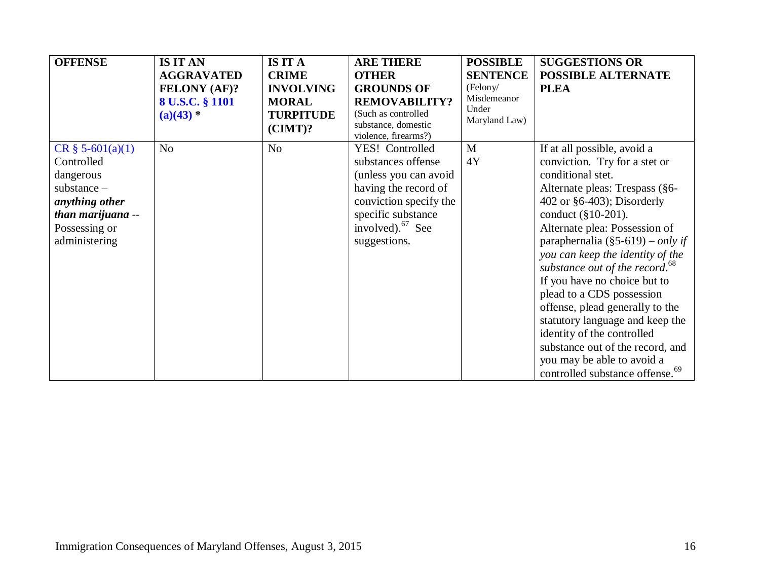<span id="page-15-0"></span>

| <b>OFFENSE</b>      | <b>IS IT AN</b>     | <b>IS IT A</b>   | <b>ARE THERE</b>                            | <b>POSSIBLE</b>      | <b>SUGGESTIONS OR</b>                       |
|---------------------|---------------------|------------------|---------------------------------------------|----------------------|---------------------------------------------|
|                     | <b>AGGRAVATED</b>   | <b>CRIME</b>     | <b>OTHER</b>                                | <b>SENTENCE</b>      | POSSIBLE ALTERNATE                          |
|                     | <b>FELONY (AF)?</b> | <b>INVOLVING</b> | <b>GROUNDS OF</b>                           | (Felony/             | <b>PLEA</b>                                 |
|                     | 8 U.S.C. § 1101     | <b>MORAL</b>     | <b>REMOVABILITY?</b>                        | Misdemeanor<br>Under |                                             |
|                     | $(a)(43) *$         | <b>TURPITUDE</b> | (Such as controlled                         | Maryland Law)        |                                             |
|                     |                     | $(CIMT)$ ?       | substance, domestic<br>violence, firearms?) |                      |                                             |
| $CR \S 5-601(a)(1)$ | N <sub>o</sub>      | N <sub>o</sub>   | YES! Controlled                             | M                    | If at all possible, avoid a                 |
| Controlled          |                     |                  | substances offense                          | 4Y                   | conviction. Try for a stet or               |
| dangerous           |                     |                  | (unless you can avoid                       |                      | conditional stet.                           |
| $substance -$       |                     |                  | having the record of                        |                      | Alternate pleas: Trespass (§6-              |
| anything other      |                     |                  | conviction specify the                      |                      | 402 or $\S 6-403$ ; Disorderly              |
| than marijuana --   |                     |                  | specific substance                          |                      | conduct $(\S 10-201)$ .                     |
| Possessing or       |                     |                  | involved). $67$ See                         |                      | Alternate plea: Possession of               |
| administering       |                     |                  | suggestions.                                |                      | paraphernalia (§5-619) – <i>only if</i>     |
|                     |                     |                  |                                             |                      | you can keep the identity of the            |
|                     |                     |                  |                                             |                      | substance out of the record. <sup>68</sup>  |
|                     |                     |                  |                                             |                      | If you have no choice but to                |
|                     |                     |                  |                                             |                      | plead to a CDS possession                   |
|                     |                     |                  |                                             |                      | offense, plead generally to the             |
|                     |                     |                  |                                             |                      | statutory language and keep the             |
|                     |                     |                  |                                             |                      | identity of the controlled                  |
|                     |                     |                  |                                             |                      | substance out of the record, and            |
|                     |                     |                  |                                             |                      | you may be able to avoid a                  |
|                     |                     |                  |                                             |                      | controlled substance offense. <sup>69</sup> |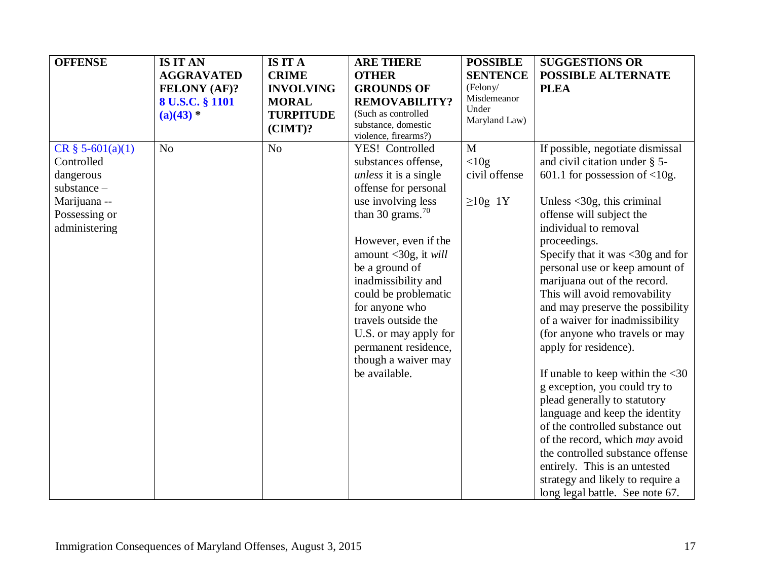| <b>OFFENSE</b>                                                                                                    | <b>IS IT AN</b><br><b>AGGRAVATED</b><br>FELONY (AF)?<br>8 U.S.C. § 1101<br>$(a)(43)$ * | <b>IS IT A</b><br><b>CRIME</b><br><b>INVOLVING</b><br><b>MORAL</b><br><b>TURPITUDE</b><br>$(CIMT)$ ? | <b>ARE THERE</b><br><b>OTHER</b><br><b>GROUNDS OF</b><br><b>REMOVABILITY?</b><br>(Such as controlled<br>substance, domestic<br>violence, firearms?)                                                                                                                                                                                                                                               | <b>POSSIBLE</b><br><b>SENTENCE</b><br>(Felony/<br>Misdemeanor<br>Under<br>Maryland Law) | <b>SUGGESTIONS OR</b><br><b>POSSIBLE ALTERNATE</b><br><b>PLEA</b>                                                                                                                                                                                                                                                                                                                                                                                                                                                                                                                                                                                                                                                                                                                                                                                                    |
|-------------------------------------------------------------------------------------------------------------------|----------------------------------------------------------------------------------------|------------------------------------------------------------------------------------------------------|---------------------------------------------------------------------------------------------------------------------------------------------------------------------------------------------------------------------------------------------------------------------------------------------------------------------------------------------------------------------------------------------------|-----------------------------------------------------------------------------------------|----------------------------------------------------------------------------------------------------------------------------------------------------------------------------------------------------------------------------------------------------------------------------------------------------------------------------------------------------------------------------------------------------------------------------------------------------------------------------------------------------------------------------------------------------------------------------------------------------------------------------------------------------------------------------------------------------------------------------------------------------------------------------------------------------------------------------------------------------------------------|
| $CR \S 5-601(a)(1)$<br>Controlled<br>dangerous<br>$substance -$<br>Marijuana --<br>Possessing or<br>administering | N <sub>o</sub>                                                                         | N <sub>0</sub>                                                                                       | YES! Controlled<br>substances offense,<br><i>unless</i> it is a single<br>offense for personal<br>use involving less<br>than 30 grams. $70$<br>However, even if the<br>amount $<$ 30g, it will<br>be a ground of<br>inadmissibility and<br>could be problematic<br>for anyone who<br>travels outside the<br>U.S. or may apply for<br>permanent residence,<br>though a waiver may<br>be available. | M<br>$<$ 10g<br>civil offense<br>$\geq$ 10g 1Y                                          | If possible, negotiate dismissal<br>and civil citation under § 5-<br>601.1 for possession of $<$ 10g.<br>Unless $\langle 30g,$ this criminal<br>offense will subject the<br>individual to removal<br>proceedings.<br>Specify that it was $\langle 30g \rangle$ and for<br>personal use or keep amount of<br>marijuana out of the record.<br>This will avoid removability<br>and may preserve the possibility<br>of a waiver for inadmissibility<br>(for anyone who travels or may<br>apply for residence).<br>If unable to keep within the $<30$<br>g exception, you could try to<br>plead generally to statutory<br>language and keep the identity<br>of the controlled substance out<br>of the record, which may avoid<br>the controlled substance offense<br>entirely. This is an untested<br>strategy and likely to require a<br>long legal battle. See note 67. |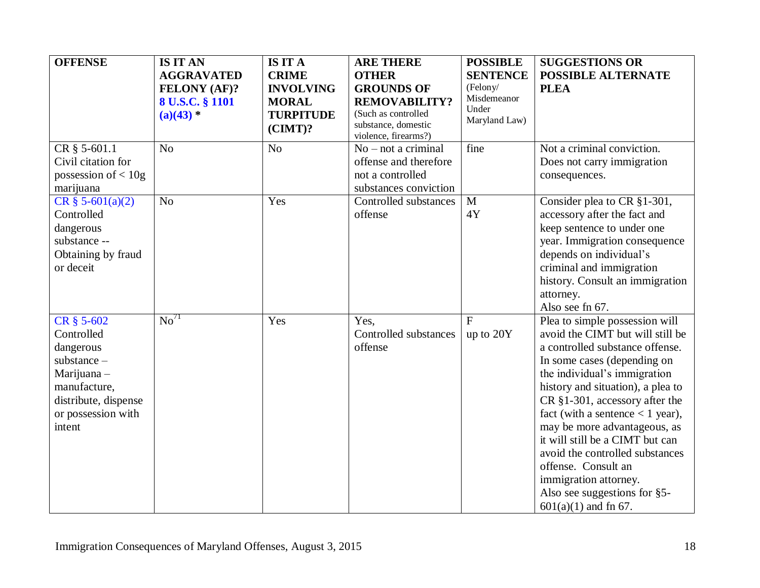<span id="page-17-0"></span>

| <b>OFFENSE</b>        | <b>IS IT AN</b>                        | <b>IS IT A</b>                   | <b>ARE THERE</b>                                                   | <b>POSSIBLE</b>         | <b>SUGGESTIONS OR</b>              |
|-----------------------|----------------------------------------|----------------------------------|--------------------------------------------------------------------|-------------------------|------------------------------------|
|                       | <b>AGGRAVATED</b>                      | <b>CRIME</b>                     | <b>OTHER</b>                                                       | <b>SENTENCE</b>         | <b>POSSIBLE ALTERNATE</b>          |
|                       | <b>FELONY (AF)?</b><br>8 U.S.C. § 1101 | <b>INVOLVING</b><br><b>MORAL</b> | <b>GROUNDS OF</b><br><b>REMOVABILITY?</b>                          | (Felony/<br>Misdemeanor | <b>PLEA</b>                        |
|                       | $(a)(43)$ *                            | <b>TURPITUDE</b><br>$(CIMT)$ ?   | (Such as controlled<br>substance, domestic<br>violence, firearms?) | Under<br>Maryland Law)  |                                    |
| CR § 5-601.1          | N <sub>o</sub>                         | N <sub>o</sub>                   | $No$ – not a criminal                                              | fine                    | Not a criminal conviction.         |
| Civil citation for    |                                        |                                  | offense and therefore                                              |                         | Does not carry immigration         |
| possession of $< 10g$ |                                        |                                  | not a controlled                                                   |                         | consequences.                      |
| marijuana             |                                        |                                  | substances conviction                                              |                         |                                    |
| $CR \S 5-601(a)(2)$   | N <sub>o</sub>                         | Yes                              | Controlled substances                                              | M                       | Consider plea to CR §1-301,        |
| Controlled            |                                        |                                  | offense                                                            | 4Y                      | accessory after the fact and       |
| dangerous             |                                        |                                  |                                                                    |                         | keep sentence to under one         |
| substance --          |                                        |                                  |                                                                    |                         | year. Immigration consequence      |
| Obtaining by fraud    |                                        |                                  |                                                                    |                         | depends on individual's            |
| or deceit             |                                        |                                  |                                                                    |                         | criminal and immigration           |
|                       |                                        |                                  |                                                                    |                         | history. Consult an immigration    |
|                       |                                        |                                  |                                                                    |                         | attorney.                          |
|                       |                                        |                                  |                                                                    |                         | Also see fn 67.                    |
| CR § 5-602            | $\mathrm{No}^{71}$                     | Yes                              | Yes,                                                               | $\mathbf{F}$            | Plea to simple possession will     |
| Controlled            |                                        |                                  | Controlled substances                                              | up to 20Y               | avoid the CIMT but will still be   |
| dangerous             |                                        |                                  | offense                                                            |                         | a controlled substance offense.    |
| $substance -$         |                                        |                                  |                                                                    |                         | In some cases (depending on        |
| Marijuana-            |                                        |                                  |                                                                    |                         | the individual's immigration       |
| manufacture,          |                                        |                                  |                                                                    |                         | history and situation), a plea to  |
| distribute, dispense  |                                        |                                  |                                                                    |                         | $CR$ §1-301, accessory after the   |
| or possession with    |                                        |                                  |                                                                    |                         | fact (with a sentence $<$ 1 year), |
| intent                |                                        |                                  |                                                                    |                         | may be more advantageous, as       |
|                       |                                        |                                  |                                                                    |                         | it will still be a CIMT but can    |
|                       |                                        |                                  |                                                                    |                         | avoid the controlled substances    |
|                       |                                        |                                  |                                                                    |                         | offense. Consult an                |
|                       |                                        |                                  |                                                                    |                         | immigration attorney.              |
|                       |                                        |                                  |                                                                    |                         | Also see suggestions for §5-       |
|                       |                                        |                                  |                                                                    |                         | $601(a)(1)$ and fn 67.             |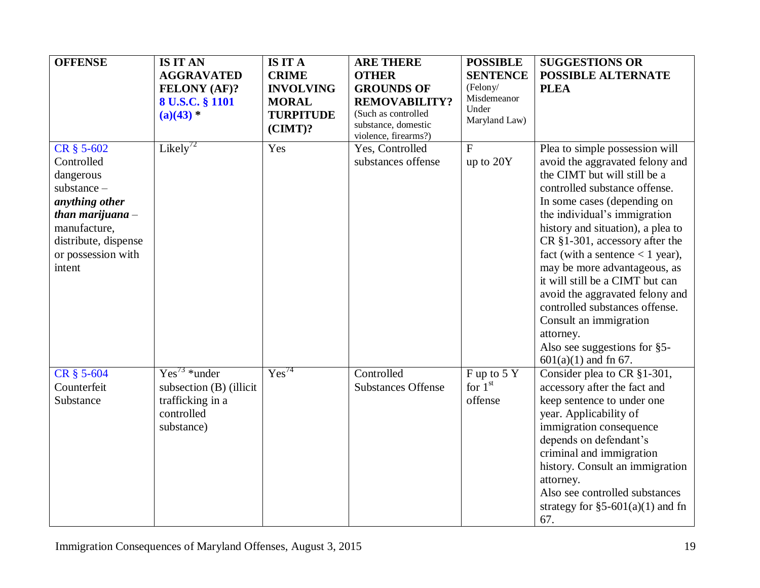| <b>OFFENSE</b>                                                                                                                                                         | <b>IS IT AN</b><br><b>AGGRAVATED</b><br><b>FELONY (AF)?</b><br>8 U.S.C. § 1101<br>$(a)(43)$ * | <b>IS IT A</b><br><b>CRIME</b><br><b>INVOLVING</b><br><b>MORAL</b><br><b>TURPITUDE</b><br>$(CIMT)$ ? | <b>ARE THERE</b><br><b>OTHER</b><br><b>GROUNDS OF</b><br><b>REMOVABILITY?</b><br>(Such as controlled<br>substance, domestic<br>violence, firearms?) | <b>POSSIBLE</b><br><b>SENTENCE</b><br>(February/<br>Misdemeanor<br>Under<br>Maryland Law) | <b>SUGGESTIONS OR</b><br><b>POSSIBLE ALTERNATE</b><br><b>PLEA</b>                                                                                                                                                                                                                                                                                                                                                                                                                                                                                       |
|------------------------------------------------------------------------------------------------------------------------------------------------------------------------|-----------------------------------------------------------------------------------------------|------------------------------------------------------------------------------------------------------|-----------------------------------------------------------------------------------------------------------------------------------------------------|-------------------------------------------------------------------------------------------|---------------------------------------------------------------------------------------------------------------------------------------------------------------------------------------------------------------------------------------------------------------------------------------------------------------------------------------------------------------------------------------------------------------------------------------------------------------------------------------------------------------------------------------------------------|
| CR § 5-602<br>Controlled<br>dangerous<br>$substance -$<br>anything other<br>than marijuana $-$<br>manufacture,<br>distribute, dispense<br>or possession with<br>intent | Likely <sup>72</sup>                                                                          | Yes                                                                                                  | Yes, Controlled<br>substances offense                                                                                                               | $\mathbf{F}$<br>up to 20Y                                                                 | Plea to simple possession will<br>avoid the aggravated felony and<br>the CIMT but will still be a<br>controlled substance offense.<br>In some cases (depending on<br>the individual's immigration<br>history and situation), a plea to<br>CR §1-301, accessory after the<br>fact (with a sentence $<$ 1 year),<br>may be more advantageous, as<br>it will still be a CIMT but can<br>avoid the aggravated felony and<br>controlled substances offense.<br>Consult an immigration<br>attorney.<br>Also see suggestions for §5-<br>$601(a)(1)$ and fn 67. |
| CR § 5-604<br>Counterfeit<br>Substance                                                                                                                                 | $Yes^{73} * under$<br>subsection (B) (illicit<br>trafficking in a<br>controlled<br>substance) | Yes <sup>74</sup>                                                                                    | Controlled<br><b>Substances Offense</b>                                                                                                             | F up to 5 Y<br>for $1st$<br>offense                                                       | Consider plea to CR §1-301,<br>accessory after the fact and<br>keep sentence to under one<br>year. Applicability of<br>immigration consequence<br>depends on defendant's<br>criminal and immigration<br>history. Consult an immigration<br>attorney.<br>Also see controlled substances<br>strategy for $\S5-601(a)(1)$ and fn<br>67.                                                                                                                                                                                                                    |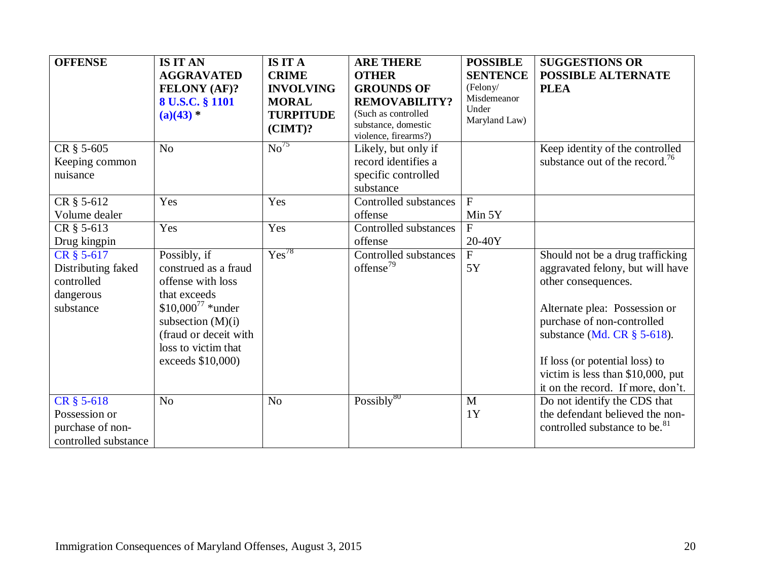| <b>OFFENSE</b>                                                           | <b>IS IT AN</b><br><b>AGGRAVATED</b><br><b>FELONY (AF)?</b><br>8 U.S.C. § 1101<br>$(a)(43) *$                                                                                                  | <b>IS IT A</b><br><b>CRIME</b><br><b>INVOLVING</b><br><b>MORAL</b><br><b>TURPITUDE</b><br>$(CIMT)$ ? | <b>ARE THERE</b><br><b>OTHER</b><br><b>GROUNDS OF</b><br><b>REMOVABILITY?</b><br>(Such as controlled<br>substance, domestic<br>violence, firearms?) | <b>POSSIBLE</b><br><b>SENTENCE</b><br>(Felony/<br>Misdemeanor<br>Under<br>Maryland Law) | <b>SUGGESTIONS OR</b><br><b>POSSIBLE ALTERNATE</b><br><b>PLEA</b>                                                                                                                                                                                                                                        |
|--------------------------------------------------------------------------|------------------------------------------------------------------------------------------------------------------------------------------------------------------------------------------------|------------------------------------------------------------------------------------------------------|-----------------------------------------------------------------------------------------------------------------------------------------------------|-----------------------------------------------------------------------------------------|----------------------------------------------------------------------------------------------------------------------------------------------------------------------------------------------------------------------------------------------------------------------------------------------------------|
| CR § 5-605<br>Keeping common<br>nuisance                                 | N <sub>o</sub>                                                                                                                                                                                 | $\overline{\mathrm{No}}^{75}$                                                                        | Likely, but only if<br>record identifies a<br>specific controlled<br>substance                                                                      |                                                                                         | Keep identity of the controlled<br>substance out of the record. <sup>76</sup>                                                                                                                                                                                                                            |
| CR § 5-612<br>Volume dealer                                              | Yes                                                                                                                                                                                            | Yes                                                                                                  | Controlled substances<br>offense                                                                                                                    | $\overline{F}$<br>Min 5Y                                                                |                                                                                                                                                                                                                                                                                                          |
| CR § 5-613<br>Drug kingpin                                               | Yes                                                                                                                                                                                            | Yes                                                                                                  | Controlled substances<br>offense                                                                                                                    | F<br>20-40Y                                                                             |                                                                                                                                                                                                                                                                                                          |
| CR § 5-617<br>Distributing faked<br>controlled<br>dangerous<br>substance | Possibly, if<br>construed as a fraud<br>offense with loss<br>that exceeds<br>$$10,000^{77}$ *under<br>subsection $(M)(i)$<br>(fraud or deceit with<br>loss to victim that<br>exceeds \$10,000) | $Yes^{78}$                                                                                           | Controlled substances<br>offense <sup>79</sup>                                                                                                      | F<br>5Y                                                                                 | Should not be a drug trafficking<br>aggravated felony, but will have<br>other consequences.<br>Alternate plea: Possession or<br>purchase of non-controlled<br>substance (Md. CR $\S$ 5-618).<br>If loss (or potential loss) to<br>victim is less than \$10,000, put<br>it on the record. If more, don't. |
| CR § 5-618<br>Possession or<br>purchase of non-<br>controlled substance  | N <sub>o</sub>                                                                                                                                                                                 | N <sub>o</sub>                                                                                       | Possibly <sup>80</sup>                                                                                                                              | $\mathbf{M}$<br>1Y                                                                      | Do not identify the CDS that<br>the defendant believed the non-<br>controlled substance to be. <sup>81</sup>                                                                                                                                                                                             |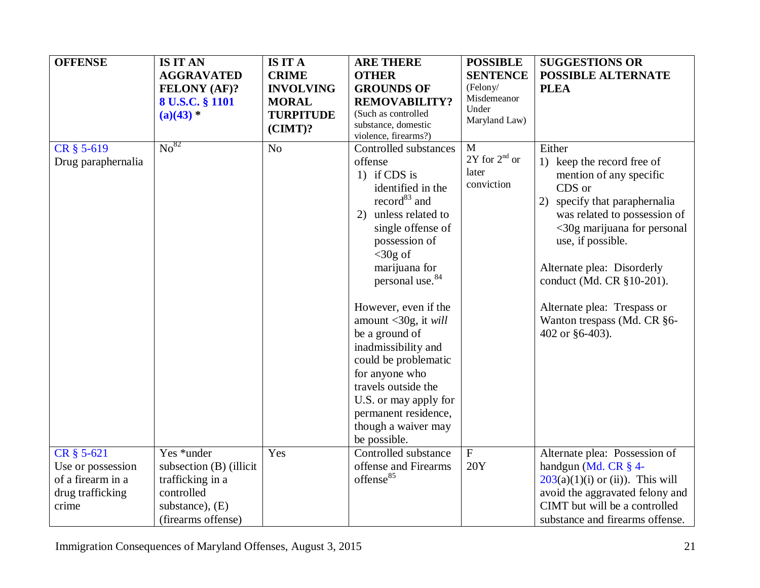| <b>OFFENSE</b>                                                                    | <b>IS IT AN</b><br><b>AGGRAVATED</b><br><b>FELONY (AF)?</b><br>8 U.S.C. § 1101<br>$(a)(43)$ *                      | <b>IS IT A</b><br><b>CRIME</b><br><b>INVOLVING</b><br><b>MORAL</b><br><b>TURPITUDE</b><br>$(CIMT)$ ? | <b>ARE THERE</b><br><b>OTHER</b><br><b>GROUNDS OF</b><br><b>REMOVABILITY?</b><br>(Such as controlled<br>substance, domestic<br>violence, firearms?)                                                                                                                                                                                                                                                                                                                                   | <b>POSSIBLE</b><br><b>SENTENCE</b><br>(Felony/<br>Misdemeanor<br>Under<br>Maryland Law) | <b>SUGGESTIONS OR</b><br>POSSIBLE ALTERNATE<br><b>PLEA</b>                                                                                                                                                                                                                                                                                       |
|-----------------------------------------------------------------------------------|--------------------------------------------------------------------------------------------------------------------|------------------------------------------------------------------------------------------------------|---------------------------------------------------------------------------------------------------------------------------------------------------------------------------------------------------------------------------------------------------------------------------------------------------------------------------------------------------------------------------------------------------------------------------------------------------------------------------------------|-----------------------------------------------------------------------------------------|--------------------------------------------------------------------------------------------------------------------------------------------------------------------------------------------------------------------------------------------------------------------------------------------------------------------------------------------------|
| CR § 5-619<br>Drug paraphernalia                                                  | $\mathrm{No}^{82}$                                                                                                 | N <sub>o</sub>                                                                                       | Controlled substances<br>offense<br>1) if CDS is<br>identified in the<br>record <sup>83</sup> and<br>unless related to<br>2)<br>single offense of<br>possession of<br>$<$ 30g of<br>marijuana for<br>personal use. <sup>84</sup><br>However, even if the<br>amount $<$ 30g, it will<br>be a ground of<br>inadmissibility and<br>could be problematic<br>for anyone who<br>travels outside the<br>U.S. or may apply for<br>permanent residence,<br>though a waiver may<br>be possible. | M<br>$2Y$ for $2^{nd}$ or<br>later<br>conviction                                        | Either<br>1) keep the record free of<br>mention of any specific<br>CDS or<br>2)<br>specify that paraphernalia<br>was related to possession of<br>$<30$ g marijuana for personal<br>use, if possible.<br>Alternate plea: Disorderly<br>conduct (Md. CR §10-201).<br>Alternate plea: Trespass or<br>Wanton trespass (Md. CR §6-<br>402 or §6-403). |
| CR § 5-621<br>Use or possession<br>of a firearm in a<br>drug trafficking<br>crime | Yes *under<br>subsection (B) (illicit<br>trafficking in a<br>controlled<br>substance), $(E)$<br>(firearms offense) | Yes                                                                                                  | Controlled substance<br>offense and Firearms<br>offense <sup>85</sup>                                                                                                                                                                                                                                                                                                                                                                                                                 | $\mathbf{F}$<br><b>20Y</b>                                                              | Alternate plea: Possession of<br>handgun (Md. CR § 4-<br>$203(a)(1)(i)$ or (ii)). This will<br>avoid the aggravated felony and<br>CIMT but will be a controlled<br>substance and firearms offense.                                                                                                                                               |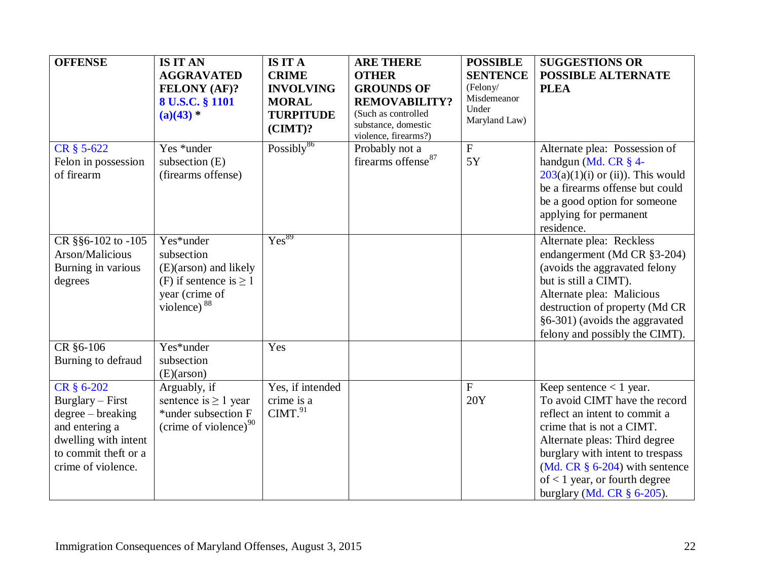<span id="page-21-0"></span>

| <b>OFFENSE</b>                                                                                                                              | <b>IS IT AN</b><br><b>AGGRAVATED</b><br>FELONY (AF)?<br>8 U.S.C. § 1101<br>$(a)(43)$ *                              | <b>IS IT A</b><br><b>CRIME</b><br><b>INVOLVING</b><br><b>MORAL</b><br><b>TURPITUDE</b><br>$(CIMT)$ ? | <b>ARE THERE</b><br><b>OTHER</b><br><b>GROUNDS OF</b><br><b>REMOVABILITY?</b><br>(Such as controlled<br>substance, domestic | <b>POSSIBLE</b><br><b>SENTENCE</b><br>(Felony/<br>Misdemeanor<br>Under<br>Maryland Law) | <b>SUGGESTIONS OR</b><br><b>POSSIBLE ALTERNATE</b><br><b>PLEA</b>                                                                                                                                                                                                                                      |
|---------------------------------------------------------------------------------------------------------------------------------------------|---------------------------------------------------------------------------------------------------------------------|------------------------------------------------------------------------------------------------------|-----------------------------------------------------------------------------------------------------------------------------|-----------------------------------------------------------------------------------------|--------------------------------------------------------------------------------------------------------------------------------------------------------------------------------------------------------------------------------------------------------------------------------------------------------|
| CR § 5-622<br>Felon in possession<br>of firearm                                                                                             | Yes *under<br>subsection $(E)$<br>(firearms offense)                                                                | $\overline{\text{Possibly}^{\text{86}}}$                                                             | violence, firearms?)<br>Probably not a<br>firearms offense <sup>87</sup>                                                    | $\mathbf F$<br>5Y                                                                       | Alternate plea: Possession of<br>handgun (Md. CR § 4-<br>$203(a)(1)(i)$ or (ii)). This would<br>be a firearms offense but could<br>be a good option for someone<br>applying for permanent<br>residence.                                                                                                |
| CR §§6-102 to -105<br>Arson/Malicious<br>Burning in various<br>degrees                                                                      | Yes*under<br>subsection<br>(E)(arson) and likely<br>(F) if sentence is $\geq 1$<br>year (crime of<br>violence) $88$ | $Y\overline{es^{89}}$                                                                                |                                                                                                                             |                                                                                         | Alternate plea: Reckless<br>endangerment (Md CR §3-204)<br>(avoids the aggravated felony<br>but is still a CIMT).<br>Alternate plea: Malicious<br>destruction of property (Md CR<br>§6-301) (avoids the aggravated<br>felony and possibly the CIMT).                                                   |
| CR §6-106<br>Burning to defraud                                                                                                             | Yes*under<br>subsection<br>(E)(arson)                                                                               | Yes                                                                                                  |                                                                                                                             |                                                                                         |                                                                                                                                                                                                                                                                                                        |
| CR § 6-202<br>Burglary – First<br>degree – breaking<br>and entering a<br>dwelling with intent<br>to commit theft or a<br>crime of violence. | Arguably, if<br>sentence is $\geq 1$ year<br>*under subsection F<br>(crime of violence) <sup>90</sup>               | Yes, if intended<br>crime is a<br>CIMT. <sup>91</sup>                                                |                                                                                                                             | $\mathbf{F}$<br>20Y                                                                     | Keep sentence $< 1$ year.<br>To avoid CIMT have the record<br>reflect an intent to commit a<br>crime that is not a CIMT.<br>Alternate pleas: Third degree<br>burglary with intent to trespass<br>(Md. CR $\S$ 6-204) with sentence<br>of $<$ 1 year, or fourth degree<br>burglary (Md. CR $\S$ 6-205). |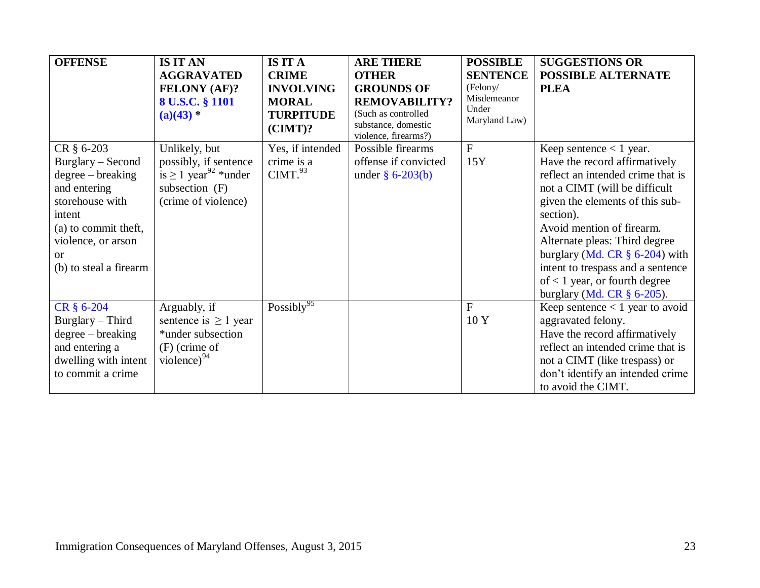| <b>OFFENSE</b>                            | <b>IS IT AN</b>                                | <b>IS IT A</b>                 | <b>ARE THERE</b>                                                   | <b>POSSIBLE</b>      | <b>SUGGESTIONS OR</b>                                              |
|-------------------------------------------|------------------------------------------------|--------------------------------|--------------------------------------------------------------------|----------------------|--------------------------------------------------------------------|
|                                           | <b>AGGRAVATED</b>                              | <b>CRIME</b>                   | <b>OTHER</b>                                                       | <b>SENTENCE</b>      | <b>POSSIBLE ALTERNATE</b>                                          |
|                                           | <b>FELONY (AF)?</b>                            | <b>INVOLVING</b>               | <b>GROUNDS OF</b>                                                  | (Felony/             | <b>PLEA</b>                                                        |
|                                           | 8 U.S.C. § 1101                                | <b>MORAL</b>                   | <b>REMOVABILITY?</b>                                               | Misdemeanor<br>Under |                                                                    |
|                                           | $(a)(43)$ *                                    | <b>TURPITUDE</b><br>$(CIMT)$ ? | (Such as controlled<br>substance, domestic<br>violence, firearms?) | Maryland Law)        |                                                                    |
| CR § 6-203                                | Unlikely, but                                  | Yes, if intended               | Possible firearms                                                  | $\overline{F}$       | Keep sentence $<$ 1 year.                                          |
| Burglary – Second                         | possibly, if sentence                          | crime is a                     | offense if convicted                                               | 15Y                  | Have the record affirmatively                                      |
| $degree - breaking$                       | is $\geq 1$ year <sup>92</sup> *under          | CIMT. <sup>93</sup>            | under $§$ 6-203(b)                                                 |                      | reflect an intended crime that is                                  |
| and entering                              | subsection $(F)$                               |                                |                                                                    |                      | not a CIMT (will be difficult                                      |
| storehouse with                           | (crime of violence)                            |                                |                                                                    |                      | given the elements of this sub-                                    |
| intent                                    |                                                |                                |                                                                    |                      | section).                                                          |
| (a) to commit theft,                      |                                                |                                |                                                                    |                      | Avoid mention of firearm.                                          |
| violence, or arson                        |                                                |                                |                                                                    |                      | Alternate pleas: Third degree                                      |
| $\alpha$                                  |                                                |                                |                                                                    |                      | burglary (Md. CR $\S$ 6-204) with                                  |
| (b) to steal a firearm                    |                                                |                                |                                                                    |                      | intent to trespass and a sentence                                  |
|                                           |                                                |                                |                                                                    |                      | of $<$ 1 year, or fourth degree                                    |
| CR § 6-204                                |                                                | Possibly <sup>95</sup>         |                                                                    | $\mathbf{F}$         | burglary (Md. CR $\S$ 6-205).<br>Keep sentence $< 1$ year to avoid |
|                                           | Arguably, if                                   |                                |                                                                    | 10 Y                 |                                                                    |
| Burglary – Third                          | sentence is $\geq 1$ year<br>*under subsection |                                |                                                                    |                      | aggravated felony.                                                 |
| $degree - breaking$<br>and entering a     | $(F)$ (crime of                                |                                |                                                                    |                      | Have the record affirmatively<br>reflect an intended crime that is |
|                                           | violence) $^{94}$                              |                                |                                                                    |                      |                                                                    |
| dwelling with intent<br>to commit a crime |                                                |                                |                                                                    |                      | not a CIMT (like trespass) or<br>don't identify an intended crime  |
|                                           |                                                |                                |                                                                    |                      | to avoid the CIMT.                                                 |
|                                           |                                                |                                |                                                                    |                      |                                                                    |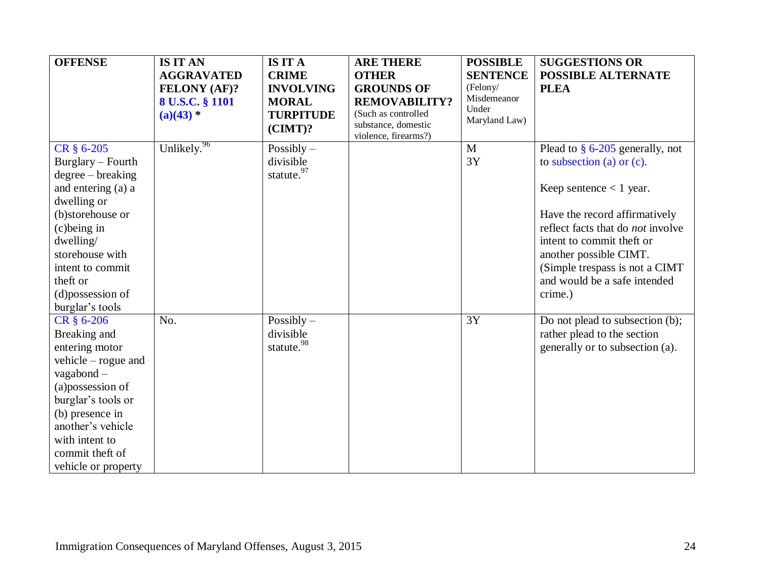| <b>OFFENSE</b>                                                                                                                                                                                                                      | <b>IS IT AN</b><br><b>AGGRAVATED</b><br><b>FELONY (AF)?</b><br>8 U.S.C. § 1101<br>$(a)(43)$ * | <b>IS IT A</b><br><b>CRIME</b><br><b>INVOLVING</b><br><b>MORAL</b><br><b>TURPITUDE</b><br>$(CIMT)$ ? | <b>ARE THERE</b><br><b>OTHER</b><br><b>GROUNDS OF</b><br><b>REMOVABILITY?</b><br>(Such as controlled<br>substance, domestic<br>violence, firearms?) | <b>POSSIBLE</b><br><b>SENTENCE</b><br>(Felony/<br>Misdemeanor<br>Under<br>Maryland Law) | <b>SUGGESTIONS OR</b><br><b>POSSIBLE ALTERNATE</b><br><b>PLEA</b>                                                                                                                                             |
|-------------------------------------------------------------------------------------------------------------------------------------------------------------------------------------------------------------------------------------|-----------------------------------------------------------------------------------------------|------------------------------------------------------------------------------------------------------|-----------------------------------------------------------------------------------------------------------------------------------------------------|-----------------------------------------------------------------------------------------|---------------------------------------------------------------------------------------------------------------------------------------------------------------------------------------------------------------|
| CR § 6-205<br>Burglary – Fourth<br>$degree - breaking$                                                                                                                                                                              | Unlikely. <sup>96</sup>                                                                       | Possibly $-$<br>divisible<br>statute. <sup>97</sup>                                                  |                                                                                                                                                     | M<br>3Y                                                                                 | Plead to $\S$ 6-205 generally, not<br>to subsection (a) or $(c)$ .                                                                                                                                            |
| and entering (a) a                                                                                                                                                                                                                  |                                                                                               |                                                                                                      |                                                                                                                                                     |                                                                                         | Keep sentence $< 1$ year.                                                                                                                                                                                     |
| dwelling or<br>(b)storehouse or<br>$(c)$ being in<br>dwelling/<br>storehouse with<br>intent to commit<br>theft or<br>(d)possession of<br>burglar's tools                                                                            |                                                                                               |                                                                                                      |                                                                                                                                                     |                                                                                         | Have the record affirmatively<br>reflect facts that do <i>not</i> involve<br>intent to commit theft or<br>another possible CIMT.<br>(Simple trespass is not a CIMT<br>and would be a safe intended<br>crime.) |
| CR § 6-206<br>Breaking and<br>entering motor<br>vehicle $-$ rogue and<br>vagabond $-$<br>(a)possession of<br>burglar's tools or<br>(b) presence in<br>another's vehicle<br>with intent to<br>commit theft of<br>vehicle or property | No.                                                                                           | Possibly $-$<br>divisible<br>statute. <sup>98</sup>                                                  |                                                                                                                                                     | 3Y                                                                                      | Do not plead to subsection (b);<br>rather plead to the section<br>generally or to subsection (a).                                                                                                             |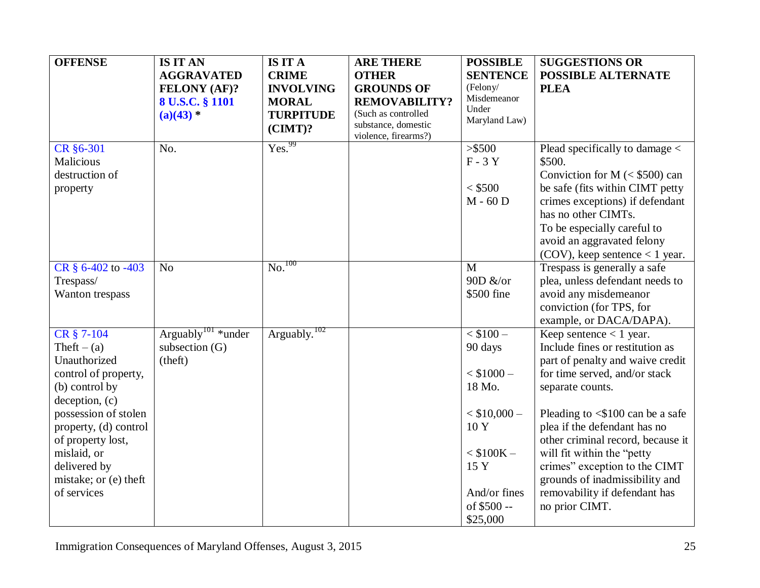| <b>OFFENSE</b>        | <b>IS IT AN</b>                | <b>IS IT A</b>                | <b>ARE THERE</b>                           | <b>POSSIBLE</b>      | <b>SUGGESTIONS OR</b>                                  |
|-----------------------|--------------------------------|-------------------------------|--------------------------------------------|----------------------|--------------------------------------------------------|
|                       | <b>AGGRAVATED</b>              | <b>CRIME</b>                  | <b>OTHER</b>                               | <b>SENTENCE</b>      | <b>POSSIBLE ALTERNATE</b>                              |
|                       | <b>FELONY (AF)?</b>            | <b>INVOLVING</b>              | <b>GROUNDS OF</b>                          | (Felony/             | <b>PLEA</b>                                            |
|                       | 8 U.S.C. § 1101                | <b>MORAL</b>                  | <b>REMOVABILITY?</b>                       | Misdemeanor<br>Under |                                                        |
|                       | $(a)(43)$ *                    | <b>TURPITUDE</b>              | (Such as controlled<br>substance, domestic | Maryland Law)        |                                                        |
|                       |                                | $(CIMT)$ ?                    | violence, firearms?)                       |                      |                                                        |
| CR §6-301             | No.                            | Yes. <sup>99</sup>            |                                            | > \$500              | Plead specifically to damage $\lt$                     |
| Malicious             |                                |                               |                                            | $F - 3Y$             | \$500.                                                 |
| destruction of        |                                |                               |                                            |                      | Conviction for $M \approx $500$ can                    |
| property              |                                |                               |                                            | $<$ \$500            | be safe (fits within CIMT petty)                       |
|                       |                                |                               |                                            | $M - 60$ D           | crimes exceptions) if defendant<br>has no other CIMTs. |
|                       |                                |                               |                                            |                      | To be especially careful to                            |
|                       |                                |                               |                                            |                      | avoid an aggravated felony                             |
|                       |                                |                               |                                            |                      | $(COV)$ , keep sentence < 1 year.                      |
| CR § 6-402 to -403    | N <sub>o</sub>                 | $\overline{\text{No.}}^{100}$ |                                            | M                    | Trespass is generally a safe                           |
| Trespass/             |                                |                               |                                            | 90D &/or             | plea, unless defendant needs to                        |
| Wanton trespass       |                                |                               |                                            | \$500 fine           | avoid any misdemeanor                                  |
|                       |                                |                               |                                            |                      | conviction (for TPS, for                               |
|                       |                                |                               |                                            |                      | example, or DACA/DAPA).                                |
| CR § 7-104            | Arguably <sup>101</sup> *under | Arguably. <sup>102</sup>      |                                            | $<$ \$100 $-$        | Keep sentence $< 1$ year.                              |
| Theft $-$ (a)         | subsection $(G)$               |                               |                                            | 90 days              | Include fines or restitution as                        |
| Unauthorized          | (theft)                        |                               |                                            |                      | part of penalty and waive credit                       |
| control of property,  |                                |                               |                                            | $<$ \$1000 $-$       | for time served, and/or stack                          |
| (b) control by        |                                |                               |                                            | 18 Mo.               | separate counts.                                       |
| deception, (c)        |                                |                               |                                            |                      |                                                        |
| possession of stolen  |                                |                               |                                            | $< $10,000-$         | Pleading to $\leq$ \$100 can be a safe                 |
| property, (d) control |                                |                               |                                            | 10Y                  | plea if the defendant has no                           |
| of property lost,     |                                |                               |                                            |                      | other criminal record, because it                      |
| mislaid, or           |                                |                               |                                            | $<$ \$100K $-$       | will fit within the "petty                             |
| delivered by          |                                |                               |                                            | 15 Y                 | crimes" exception to the CIMT                          |
| mistake; or (e) theft |                                |                               |                                            |                      | grounds of inadmissibility and                         |
| of services           |                                |                               |                                            | And/or fines         | removability if defendant has                          |
|                       |                                |                               |                                            | of \$500 --          | no prior CIMT.                                         |
|                       |                                |                               |                                            | \$25,000             |                                                        |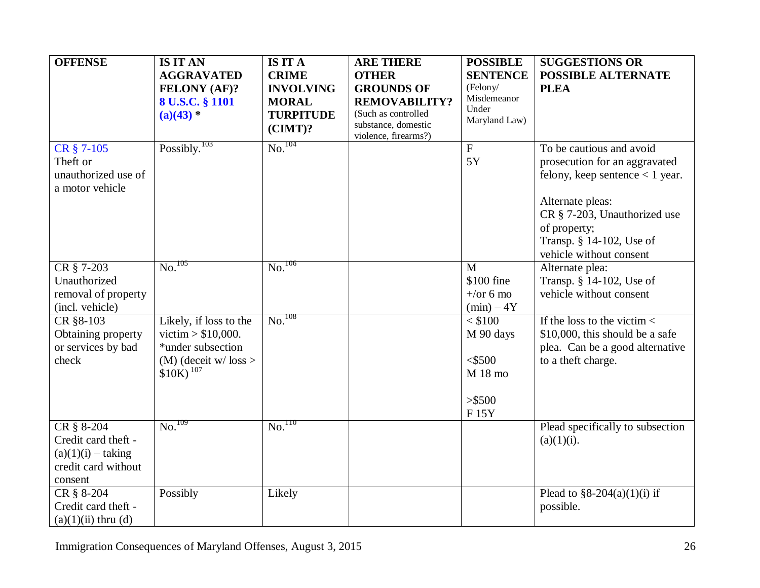<span id="page-25-1"></span><span id="page-25-0"></span>

| <b>OFFENSE</b>                                                                              | <b>IS IT AN</b>                                                                                                           | <b>IS IT A</b>                                                     | <b>ARE THERE</b>                                                                                                | <b>POSSIBLE</b>                                                     | <b>SUGGESTIONS OR</b>                                                                                                                                                                                                     |
|---------------------------------------------------------------------------------------------|---------------------------------------------------------------------------------------------------------------------------|--------------------------------------------------------------------|-----------------------------------------------------------------------------------------------------------------|---------------------------------------------------------------------|---------------------------------------------------------------------------------------------------------------------------------------------------------------------------------------------------------------------------|
|                                                                                             | <b>AGGRAVATED</b>                                                                                                         | <b>CRIME</b>                                                       | <b>OTHER</b>                                                                                                    | <b>SENTENCE</b>                                                     | <b>POSSIBLE ALTERNATE</b>                                                                                                                                                                                                 |
|                                                                                             | <b>FELONY (AF)?</b><br>8 U.S.C. § 1101<br>$(a)(43)$ *                                                                     | <b>INVOLVING</b><br><b>MORAL</b><br><b>TURPITUDE</b><br>$(CIMT)$ ? | <b>GROUNDS OF</b><br><b>REMOVABILITY?</b><br>(Such as controlled<br>substance, domestic<br>violence, firearms?) | (Felony/<br>Misdemeanor<br>Under<br>Maryland Law)                   | <b>PLEA</b>                                                                                                                                                                                                               |
| CR § 7-105<br>Theft or<br>unauthorized use of<br>a motor vehicle                            | Possibly. <sup>103</sup>                                                                                                  | $\overline{\text{No.}}^{104}$                                      |                                                                                                                 | $\overline{F}$<br>5Y                                                | To be cautious and avoid<br>prosecution for an aggravated<br>felony, keep sentence $< 1$ year.<br>Alternate pleas:<br>CR § 7-203, Unauthorized use<br>of property;<br>Transp. § 14-102, Use of<br>vehicle without consent |
| CR § 7-203<br>Unauthorized<br>removal of property<br>(incl. vehicle)                        | No. <sup>105</sup>                                                                                                        | $\overline{\text{No.}}^{106}$                                      |                                                                                                                 | $\mathbf{M}$<br>\$100 fine<br>$+\prime$ or 6 mo<br>$(min) - 4Y$     | Alternate plea:<br>Transp. § 14-102, Use of<br>vehicle without consent                                                                                                                                                    |
| CR §8-103<br>Obtaining property<br>or services by bad<br>check                              | Likely, if loss to the<br>victim > $$10,000$ .<br>*under subsection<br>$(M)$ (deceit w/ loss ><br>$$10K$ ) <sup>107</sup> | $\overline{\text{No.}}^{108}$                                      |                                                                                                                 | $<$ \$100<br>M 90 days<br>$<$ \$500<br>$M$ 18 mo<br>> \$500<br>F15Y | If the loss to the victim $\lt$<br>\$10,000, this should be a safe<br>plea. Can be a good alternative<br>to a theft charge.                                                                                               |
| CR § 8-204<br>Credit card theft -<br>$(a)(1)(i) - taking$<br>credit card without<br>consent | $\mathrm{No.}^{109}$                                                                                                      | $\overline{\text{No}}$ . $\overline{\text{no}}$                    |                                                                                                                 |                                                                     | Plead specifically to subsection<br>$(a)(1)(i)$ .                                                                                                                                                                         |
| CR § 8-204<br>Credit card theft -<br>$(a)(1)(ii)$ thru $(d)$                                | Possibly                                                                                                                  | Likely                                                             |                                                                                                                 |                                                                     | Plead to $\S 8-204(a)(1)(i)$ if<br>possible.                                                                                                                                                                              |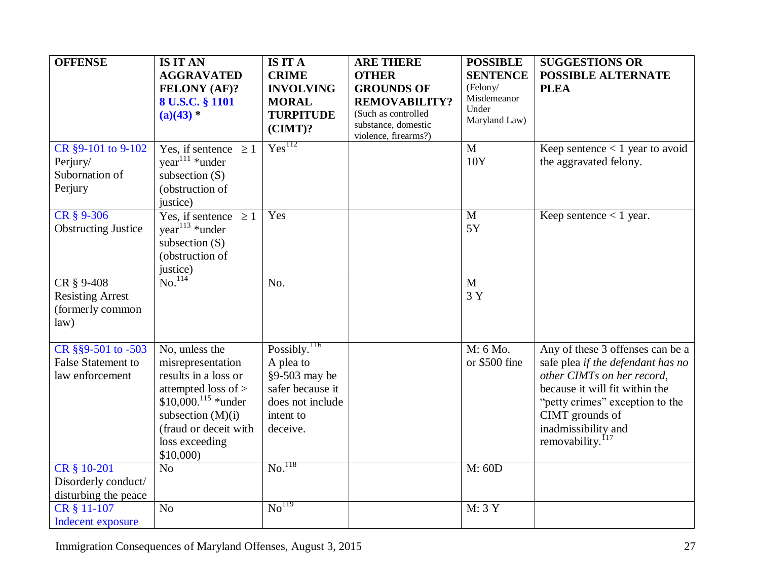| <b>OFFENSE</b>                                                     | <b>IS IT AN</b><br><b>AGGRAVATED</b><br><b>FELONY (AF)?</b><br>8 U.S.C. § 1101<br>$(a)(43)$ *                                                                                                         | <b>IS IT A</b><br><b>CRIME</b><br><b>INVOLVING</b><br><b>MORAL</b><br><b>TURPITUDE</b><br>$(CIMT)$ ?                         | <b>ARE THERE</b><br><b>OTHER</b><br><b>GROUNDS OF</b><br><b>REMOVABILITY?</b><br>(Such as controlled<br>substance, domestic<br>violence, firearms?) | <b>POSSIBLE</b><br><b>SENTENCE</b><br>(Felony/<br>Misdemeanor<br>Under<br>Maryland Law) | <b>SUGGESTIONS OR</b><br><b>POSSIBLE ALTERNATE</b><br><b>PLEA</b>                                                                                                                                                                                  |
|--------------------------------------------------------------------|-------------------------------------------------------------------------------------------------------------------------------------------------------------------------------------------------------|------------------------------------------------------------------------------------------------------------------------------|-----------------------------------------------------------------------------------------------------------------------------------------------------|-----------------------------------------------------------------------------------------|----------------------------------------------------------------------------------------------------------------------------------------------------------------------------------------------------------------------------------------------------|
| CR §9-101 to 9-102<br>Perjury/<br>Subornation of<br>Perjury        | Yes, if sentence $\geq 1$<br>$year111 *under$<br>subsection $(S)$<br>(obstruction of<br>justice)                                                                                                      | Yes <sup>112</sup>                                                                                                           |                                                                                                                                                     | $\mathbf{M}$<br>10Y                                                                     | Keep sentence $< 1$ year to avoid<br>the aggravated felony.                                                                                                                                                                                        |
| CR § 9-306<br><b>Obstructing Justice</b>                           | Yes, if sentence $\geq 1$<br>year <sup>113</sup> *under<br>subsection $(S)$<br>(obstruction of<br>$\frac{\text{justice}}{\text{No.}}$                                                                 | Yes                                                                                                                          |                                                                                                                                                     | $\mathbf{M}$<br>5Y                                                                      | Keep sentence $< 1$ year.                                                                                                                                                                                                                          |
| CR § 9-408<br><b>Resisting Arrest</b><br>(formerly common<br>law)  |                                                                                                                                                                                                       | No.                                                                                                                          |                                                                                                                                                     | $\mathbf{M}$<br>3 Y                                                                     |                                                                                                                                                                                                                                                    |
| CR §§9-501 to -503<br><b>False Statement to</b><br>law enforcement | No, unless the<br>misrepresentation<br>results in a loss or<br>attempted loss of ><br>$$10,000$ . <sup>115</sup> *under<br>subsection $(M)(i)$<br>(fraud or deceit with<br>loss exceeding<br>\$10,000 | $\overline{Posibly.}^{116}$<br>A plea to<br>$§9-503$ may be<br>safer because it<br>does not include<br>intent to<br>deceive. |                                                                                                                                                     | M: 6 Mo.<br>or \$500 fine                                                               | Any of these 3 offenses can be a<br>safe plea if the defendant has no<br>other CIMTs on her record,<br>because it will fit within the<br>"petty crimes" exception to the<br>CIMT grounds of<br>inadmissibility and<br>removability. <sup>117</sup> |
| CR § 10-201<br>Disorderly conduct/<br>disturbing the peace         | No                                                                                                                                                                                                    | $\mathrm{No.}^{118}$                                                                                                         |                                                                                                                                                     | M: 60D                                                                                  |                                                                                                                                                                                                                                                    |
| CR § 11-107<br><b>Indecent exposure</b>                            | No                                                                                                                                                                                                    | No <sup>119</sup>                                                                                                            |                                                                                                                                                     | M: 3 Y                                                                                  |                                                                                                                                                                                                                                                    |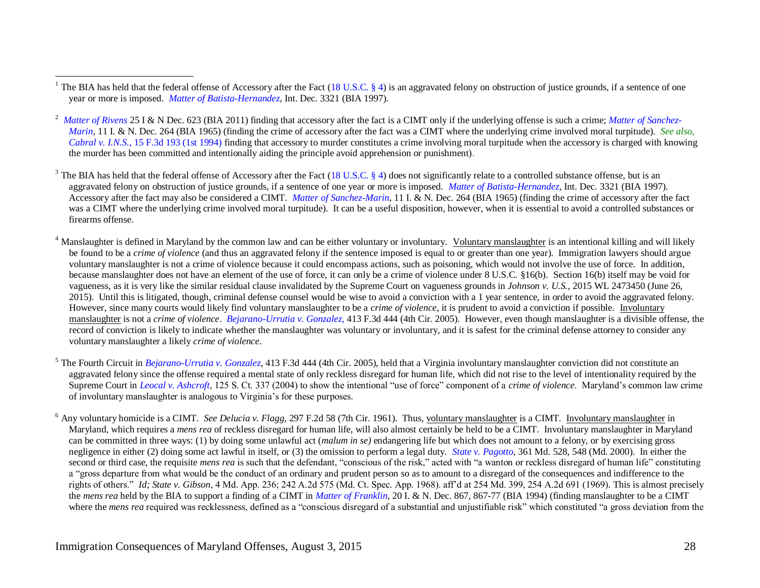<sup>3</sup> The BIA has held that the federal offense of Accessory after the Fact [\(18 U.S.C. § 4\)](http://www.law.cornell.edu/uscode/html/uscode18/usc_sec_18_00000004----000-.html) does not significantly relate to a controlled substance offense, but is an aggravated felony on obstruction of justice grounds, if a sentence of one year or more is imposed. *[Matter of Batista-Hernandez](http://www.usdoj.gov/eoir/vll/intdec/vol21/3321.pdf)*, Int. Dec. 3321 (BIA 1997). Accessory after the fact may also be considered a CIMT. *[Matter of Sanchez-Marin](http://www.usdoj.gov/eoir/vll/intdec/vol11/1492.pdf)*, 11 I. & N. Dec. 264 (BIA 1965) (finding the crime of accessory after the fact was a CIMT where the underlying crime involved moral turpitude). It can be a useful disposition, however, when it is essential to avoid a controlled substances or firearms offense.

 $4$  Manslaughter is defined in Maryland by the common law and can be either voluntary or involuntary. Voluntary manslaughter is an intentional killing and will likely be found to be a *crime of violence* (and thus an aggravated felony if the sentence imposed is equal to or greater than one year). Immigration lawyers should argue voluntary manslaughter is not a crime of violence because it could encompass actions, such as poisoning, which would not involve the use of force. In addition, because manslaughter does not have an element of the use of force, it can only be a crime of violence under 8 U.S.C. §16(b). Section 16(b) itself may be void for vagueness, as it is very like the similar residual clause invalidated by the Supreme Court on vagueness grounds in *Johnson v. U.S.,* 2015 WL 2473450 (June 26, 2015). Until this is litigated, though, criminal defense counsel would be wise to avoid a conviction with a 1 year sentence, in order to avoid the aggravated felony. However, since many courts would likely find voluntary manslaughter to be a *crime of violence*, it is prudent to avoid a conviction if possible. Involuntary manslaughter is not a *crime of violence*. *[Bejarano-Urrutia v. Gonzalez](http://ftp.resource.org/courts.gov/c/F3/413/413.F3d.444.04-2270.html)*, 413 F.3d 444 (4th Cir. 2005). However, even though manslaughter is a divisible offense, the record of conviction is likely to indicate whether the manslaughter was voluntary or involuntary, and it is safest for the criminal defense attorney to consider any voluntary manslaughter a likely *crime of violence*.

<sup>5</sup> The Fourth Circuit in *[Bejarano-Urrutia v. Gonzalez](http://pacer.ca4.uscourts.gov/opinion.pdf/042270.P.pdf)*, 413 F.3d 444 (4th Cir. 2005), held that a Virginia involuntary manslaughter conviction did not constitute an aggravated felony since the offense required a mental state of only reckless disregard for human life, which did not rise to the level of intentionality required by the Supreme Court in *[Leocal v. Ashcroft](http://www.law.cornell.edu/supct/html/03-583.ZS.html)*, 125 S. Ct. 337 (2004) to show the intentional "use of force" component of a *crime of violence*. Maryland's common law crime of involuntary manslaughter is analogous to Virginia's for these purposes.

<sup>6</sup> Any voluntary homicide is a CIMT. *See Delucia v. Flagg*, 297 F.2d 58 (7th Cir. 1961). Thus, voluntary manslaughter is a CIMT. Involuntary manslaughter in Maryland, which requires a *mens rea* of reckless disregard for human life, will also almost certainly be held to be a CIMT. Involuntary manslaughter in Maryland can be committed in three ways: (1) by doing some unlawful act (*malum in se)* endangering life but which does not amount to a felony, or by exercising gross negligence in either (2) doing some act lawful in itself, or (3) the omission to perform a legal duty. *[State v. Pagotto](http://www.courts.state.md.us/opinions/coa/2000/99a99.pdf)*, 361 Md. 528, 548 (Md. 2000). In either the second or third case, the requisite *mens rea* is such that the defendant, "conscious of the risk," acted with "a wanton or reckless disregard of human life" constituting a "gross departure from what would be the conduct of an ordinary and prudent person so as to amount to a disregard of the consequences and indifference to the rights of others." *Id[; State v. Gibson](http://www.lexis.com/research/buttonTFLink?_m=5e3640f82671ebef04732519690ed45b&_xfercite=%3ccite%20cc%3d%22USA%22%3e%3c%21%5bCDATA%5b4%20Md.%20App.%20236%5d%5d%3e%3c%2fcite%3e&_lexsee=SHMID&_butType=3&_butStat=254&_butNum=2&_butInline=1&_butinfo=%3ccite%20cc%3d%22USA%22%3e%3c%21%5bCDATA%5b1969%20Md.%20LEXIS%20881%5d%5d%3e%3c%2fcite%3e&_fmtstr=FULL&docnum=1&_startdoc=1&wchp=dGLbVzb-zSkAz&_md5=87260c0dd6a7b405b6cdf92dc7939bd0)*, 4 Md. App. 236; 242 A.2d 575 (Md. Ct. Spec. App. 1968). aff'd at 254 Md. 399, 254 A.2d 691 (1969)*.* This is almost precisely the *mens rea* held by the BIA to support a finding of a CIMT in *[Matter of Franklin,](http://www.usdoj.gov/eoir/vll/intdec/vol20/3228.pdf)* 20 I. & N. Dec. 867, 867-77 (BIA 1994) (finding manslaughter to be a CIMT where the *mens rea* required was recklessness, defined as a "conscious disregard of a substantial and unjustifiable risk" which constituted "a gross deviation from the

 $\overline{a}$ <sup>1</sup> The BIA has held that the federal offense of Accessory after the Fact [\(18 U.S.C. § 4\)](http://www.law.cornell.edu/uscode/html/uscode18/usc_sec_18_00000004----000-.html) is an aggravated felony on obstruction of justice grounds, if a sentence of one year or more is imposed. *[Matter of Batista-Hernandez](http://www.usdoj.gov/eoir/vll/intdec/vol21/3321.pdf)*, Int. Dec. 3321 (BIA 1997).

<sup>&</sup>lt;sup>2</sup> [Matter of Rivens](http://www.justice.gov/eoir/vll/intdec/vol25/3731.pdf) 25 I & N Dec. 623 (BIA 2011) finding that accessory after the fact is a CIMT only if the underlying offense is such a crime; *Matter of Sanchez*-*[Marin](http://www.usdoj.gov/eoir/vll/intdec/vol11/1492.pdf)*, 11 I. & N. Dec. 264 (BIA 1965) (finding the crime of accessory after the fact was a CIMT where the underlying crime involved moral turpitude). *See also, Cabral v. I.N.S.*[, 15 F.3d 193 \(1st 1994\)](http://openjurist.org/15/f3d/193/cabral-v-immigration-and-naturalization-service) finding that accessory to murder constitutes a crime involving moral turpitude when the accessory is charged with knowing the murder has been committed and intentionally aiding the principle avoid apprehension or punishment).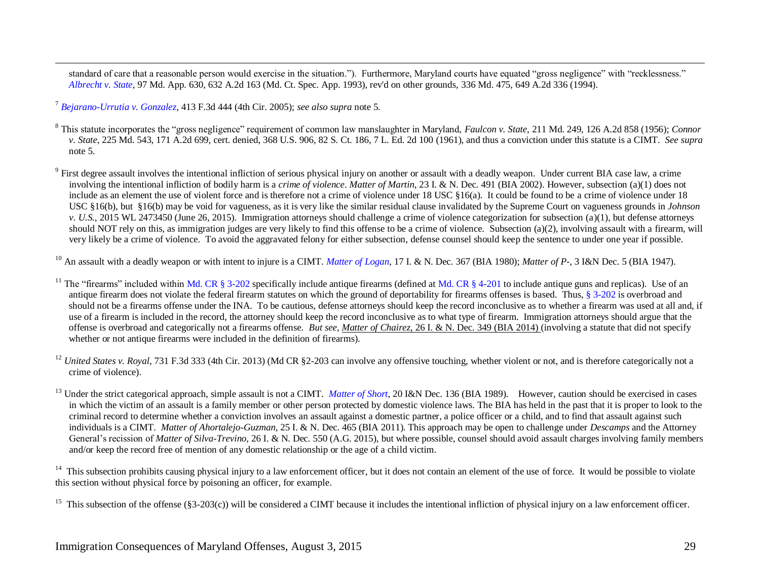standard of care that a reasonable person would exercise in the situation."). Furthermore, Maryland courts have equated "gross negligence" with "recklessness." *[Albrecht v. State](http://caselaw.lp.findlaw.com/data2/marylandstatecases/cosa/1995/1122s92.pdf)*, 97 Md. App. 630, 632 A.2d 163 (Md. Ct. Spec. App. 1993), rev'd on other grounds, [336 Md. 475, 649 A.2d 336 \(1994\).](http://www.lexis.com/research/buttonTFLink?_m=c6c2b026b6a1e0d310206b102bc6353b&_xfercite=%3ccite%20cc%3d%22USA%22%3e%3c%21%5bCDATA%5bMd.%20CRIMINAL%20LAW%20Code%20Ann.%20%a7%203-204%5d%5d%3e%3c%2fcite%3e&_butType=3&_butStat=2&_butNum=27&_butInline=1&_butinfo=%3ccite%20cc%3d%22USA%22%3e%3c%21%5bCDATA%5b336%20Md.%20475%5d%5d%3e%3c%2fcite%3e&_fmtstr=FULL&docnum=2&_startdoc=1&wchp=dGLbVzb-zSkAz&_md5=ba252daa1135c77e9f3a3be54b22ba26) 

<sup>7</sup> *[Bejarano-Urrutia v. Gonzalez](http://pacer.ca4.uscourts.gov/opinion.pdf/042270.P.pdf)*, 413 F.3d 444 (4th Cir. 2005); *see also supra* not[e 5.](#page-3-0)

 $\overline{a}$ 

<sup>8</sup> This statute incorporates the "gross negligence" requirement of common law manslaughter in Maryland, *Faulcon v. State,* [211 Md. 249, 126 A.2d 858 \(1956\);](http://www.lexis.com/research/buttonTFLink?_m=5d41a7cc848c3729607c5fb013acfa76&_xfercite=%3ccite%20cc%3d%22USA%22%3e%3c%21%5bCDATA%5bMd.%20CRIMINAL%20LAW%20Code%20Ann.%20%a7%202-209%5d%5d%3e%3c%2fcite%3e&_butType=3&_butStat=2&_butNum=29&_butInline=1&_butinfo=%3ccite%20cc%3d%22USA%22%3e%3c%21%5bCDATA%5b211%20Md.%20249%5d%5d%3e%3c%2fcite%3e&_fmtstr=FULL&docnum=4&_startdoc=1&wchp=dGLbVzb-zSkAz&_md5=dd18cc06bcf954f0226027d08ea1ed44) *Connor v. State,* [225 Md. 543, 171 A.2d 699,](http://www.lexis.com/research/buttonTFLink?_m=5d41a7cc848c3729607c5fb013acfa76&_xfercite=%3ccite%20cc%3d%22USA%22%3e%3c%21%5bCDATA%5bMd.%20CRIMINAL%20LAW%20Code%20Ann.%20%a7%202-209%5d%5d%3e%3c%2fcite%3e&_butType=3&_butStat=2&_butNum=30&_butInline=1&_butinfo=%3ccite%20cc%3d%22USA%22%3e%3c%21%5bCDATA%5b225%20Md.%20543%5d%5d%3e%3c%2fcite%3e&_fmtstr=FULL&docnum=4&_startdoc=1&wchp=dGLbVzb-zSkAz&_md5=e613f2b14dc43f0255ea190954c0a911) cert. denied, [368 U.S. 906, 82 S. Ct. 186, 7 L. Ed. 2d 100 \(1961\), and thus a conviction under this statute is a CIMT.](http://www.lexis.com/research/buttonTFLink?_m=5d41a7cc848c3729607c5fb013acfa76&_xfercite=%3ccite%20cc%3d%22USA%22%3e%3c%21%5bCDATA%5bMd.%20CRIMINAL%20LAW%20Code%20Ann.%20%a7%202-209%5d%5d%3e%3c%2fcite%3e&_butType=3&_butStat=2&_butNum=31&_butInline=1&_butinfo=%3ccite%20cc%3d%22USA%22%3e%3c%21%5bCDATA%5b368%20U.S.%20906%5d%5d%3e%3c%2fcite%3e&_fmtstr=FULL&docnum=4&_startdoc=1&wchp=dGLbVzb-zSkAz&_md5=bcbd5279b8b24314618ac3670354a4a8) *See supra*  [note 5.](http://www.lexis.com/research/buttonTFLink?_m=5d41a7cc848c3729607c5fb013acfa76&_xfercite=%3ccite%20cc%3d%22USA%22%3e%3c%21%5bCDATA%5bMd.%20CRIMINAL%20LAW%20Code%20Ann.%20%a7%202-209%5d%5d%3e%3c%2fcite%3e&_butType=3&_butStat=2&_butNum=31&_butInline=1&_butinfo=%3ccite%20cc%3d%22USA%22%3e%3c%21%5bCDATA%5b368%20U.S.%20906%5d%5d%3e%3c%2fcite%3e&_fmtstr=FULL&docnum=4&_startdoc=1&wchp=dGLbVzb-zSkAz&_md5=bcbd5279b8b24314618ac3670354a4a8)

 $9$  First degree assault involves the intentional infliction of serious physical injury on another or assault with a deadly weapon. Under current BIA case law, a crime involving the intentional infliction of bodily harm is a *crime of violence*. *Matter of Martin*, 23 I. & N. Dec. 491 (BIA 2002). However, subsection (a)(1) does not include as an element the use of violent force and is therefore not a crime of violence under 18 USC §16(a). It could be found to be a crime of violence under 18 USC §16(b), but §16(b) may be void for vagueness, as it is very like the similar residual clause invalidated by the Supreme Court on vagueness grounds in *Johnson v. U.S.,* 2015 WL 2473450 (June 26, 2015). Immigration attorneys should challenge a crime of violence categorization for subsection (a)(1), but defense attorneys should NOT rely on this, as immigration judges are very likely to find this offense to be a crime of violence. Subsection (a)(2), involving assault with a firearm, will very likely be a crime of violence. To avoid the aggravated felony for either subsection, defense counsel should keep the sentence to under one year if possible.

<sup>10</sup> An assault with a deadly weapon or with intent to injure is a CIMT. *[Matter of Logan](http://www.usdoj.gov/eoir/vll/intdec/vol17/2791.pdf)*, 17 I. & N. Dec. 367 (BIA 1980); *Matter of P-*, 3 I&N Dec. 5 (BIA 1947).

<sup>11</sup> The "firearms" included within [Md. CR § 3-202](http://mlis.state.md.us/asp/web_statutes.asp?gcr&3-202) specifically include antique firearms (defined at [Md. CR § 4-201](http://mlis.state.md.us/asp/web_statutes.asp?gcr&4-201) to include antique guns and replicas). Use of an antique firearm does not violate the federal firearm statutes on which the ground of deportability for firearms offenses is based. Thus[, § 3-202](http://mlis.state.md.us/asp/web_statutes.asp?gcr&3-202) is overbroad and should not be a firearms offense under the INA. To be cautious, defense attorneys should keep the record inconclusive as to whether a firearm was used at all and, if use of a firearm is included in the record, the attorney should keep the record inconclusive as to what type of firearm. Immigration attorneys should argue that the offense is overbroad and categorically not a firearms offense. *But see, Matter of Chairez*, 26 I. & N. Dec. 349 (BIA 2014) (involving a statute that did not specify whether or not antique firearms were included in the definition of firearms).

<sup>12</sup> *United States v. Royal*, 731 F.3d 333 (4th Cir. 2013) (Md CR §2-203 can involve any offensive touching, whether violent or not, and is therefore categorically not a crime of violence).

<sup>13</sup> Under the strict categorical approach, simple assault is not a CIMT. *[Matter of Short](http://www.usdoj.gov/eoir/vll/intdec/vol20/3125.pdf)*, 20 I&N Dec. 136 (BIA 1989). However, caution should be exercised in cases in which the victim of an assault is a family member or other person protected by domestic violence laws. The BIA has held in the past that it is proper to look to the criminal record to determine whether a conviction involves an assault against a domestic partner, a police officer or a child, and to find that assault against such individuals is a CIMT. *Matter of Ahortalejo-Guzman*, 25 I. & N. Dec. 465 (BIA 2011). This approach may be open to challenge under *Descamps* and the Attorney General's recission of *Matter of Silva-Trevino*, 26 I. & N. Dec. 550 (A.G. 2015), but where possible, counsel should avoid assault charges involving family members and/or keep the record free of mention of any domestic relationship or the age of a child victim.

14 This subsection prohibits causing physical injury to a law enforcement officer, but it does not contain an element of the use of force. It would be possible to violate this section without physical force by poisoning an officer, for example.

<sup>15</sup> This subsection of the offense (§3-203(c)) will be considered a CIMT because it includes the intentional infliction of physical injury on a law enforcement officer.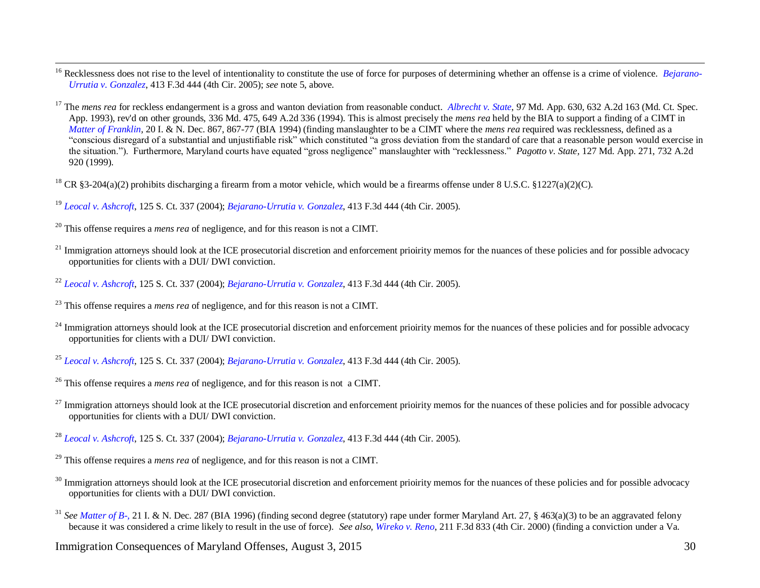<sup>16</sup> Recklessness does not rise to the level of intentionality to constitute the use of force for purposes of determining whether an offense is a crime of violence. *[Bejarano-](http://pacer.ca4.uscourts.gov/opinion.pdf/042270.P.pdf)[Urrutia v. Gonzalez](http://pacer.ca4.uscourts.gov/opinion.pdf/042270.P.pdf)*, 413 F.3d 444 (4th Cir. 2005); *see* note [5,](#page-3-0) above.

<sup>17</sup> The *mens rea* for reckless endangerment is a gross and wanton deviation from reasonable conduct. *[Albrecht v. State](http://caselaw.lp.findlaw.com/data2/marylandstatecases/cosa/1995/1122s92.pdf)*, 97 Md. App. 630, 632 A.2d 163 (Md. Ct. Spec. App. 1993), rev'd on other grounds, [336 Md. 475, 649 A.2d 336 \(1994\).](http://www.lexis.com/research/buttonTFLink?_m=c6c2b026b6a1e0d310206b102bc6353b&_xfercite=%3ccite%20cc%3d%22USA%22%3e%3c%21%5bCDATA%5bMd.%20CRIMINAL%20LAW%20Code%20Ann.%20%a7%203-204%5d%5d%3e%3c%2fcite%3e&_butType=3&_butStat=2&_butNum=27&_butInline=1&_butinfo=%3ccite%20cc%3d%22USA%22%3e%3c%21%5bCDATA%5b336%20Md.%20475%5d%5d%3e%3c%2fcite%3e&_fmtstr=FULL&docnum=2&_startdoc=1&wchp=dGLbVzb-zSkAz&_md5=ba252daa1135c77e9f3a3be54b22ba26) This is almost precisely the *mens rea* held by the BIA to support a finding of a CIMT in *[Matter of Franklin,](http://www.usdoj.gov/eoir/vll/intdec/vol20/3228.pdf)* 20 I. & N. Dec. 867, 867-77 (BIA 1994) (finding manslaughter to be a CIMT where the *mens rea* required was recklessness, defined as a "conscious disregard of a substantial and unjustifiable risk" which constituted "a gross deviation from the standard of care that a reasonable person would exercise in the situation."). Furthermore, Maryland courts have equated "gross negligence" manslaughter with "recklessness." *Pagotto v. State,* 127 Md. App. 271, 732 A.2d 920 (1999).

<sup>18</sup> CR §3-204(a)(2) prohibits discharging a firearm from a motor vehicle, which would be a firearms offense under 8 U.S.C. §1227(a)(2)(C).

<sup>19</sup> *[Leocal v. Ashcroft](http://www.law.cornell.edu/supct/html/03-583.ZS.html)*, 125 S. Ct. 337 (2004); *[Bejarano-Urrutia v. Gonzalez](http://pacer.ca4.uscourts.gov/opinion.pdf/042270.P.pdf)*, 413 F.3d 444 (4th Cir. 2005).

<sup>20</sup> This offense requires a *mens rea* of negligence, and for this reason is not a CIMT.

 $\overline{a}$ 

- <sup>21</sup> Immigration attorneys should look at the ICE prosecutorial discretion and enforcement prioirity memos for the nuances of these policies and for possible advocacy opportunities for clients with a DUI/ DWI conviction.
- <sup>22</sup> *[Leocal v. Ashcroft](http://www.law.cornell.edu/supct/html/03-583.ZS.html)*, 125 S. Ct. 337 (2004); *[Bejarano-Urrutia v. Gonzalez](http://pacer.ca4.uscourts.gov/opinion.pdf/042270.P.pdf)*, 413 F.3d 444 (4th Cir. 2005).

<sup>24</sup> Immigration attorneys should look at the ICE prosecutorial discretion and enforcement prioirity memos for the nuances of these policies and for possible advocacy opportunities for clients with a DUI/ DWI conviction.

<sup>25</sup> *[Leocal v. Ashcroft](http://www.law.cornell.edu/supct/html/03-583.ZS.html)*, 125 S. Ct. 337 (2004); *[Bejarano-Urrutia v. Gonzalez](http://pacer.ca4.uscourts.gov/opinion.pdf/042270.P.pdf)*, 413 F.3d 444 (4th Cir. 2005).

<sup>26</sup> This offense requires a *mens rea* of negligence, and for this reason is not a CIMT.

 $^{27}$  Immigration attorneys should look at the ICE prosecutorial discretion and enforcement prioirity memos for the nuances of these policies and for possible advocacy opportunities for clients with a DUI/ DWI conviction.

<sup>28</sup> *[Leocal v. Ashcroft](http://www.law.cornell.edu/supct/html/03-583.ZS.html)*, 125 S. Ct. 337 (2004); *[Bejarano-Urrutia v. Gonzalez](http://pacer.ca4.uscourts.gov/opinion.pdf/042270.P.pdf)*, 413 F.3d 444 (4th Cir. 2005).

<sup>29</sup> This offense requires a *mens rea* of negligence, and for this reason is not a CIMT.

- <sup>30</sup> Immigration attorneys should look at the ICE prosecutorial discretion and enforcement prioirity memos for the nuances of these policies and for possible advocacy opportunities for clients with a DUI/ DWI conviction.
- <sup>31</sup> See [Matter of B-,](http://www.usdoj.gov/eoir/vll/intdec/vol21/3270.pdf) 21 I. & N. Dec. 287 (BIA 1996) (finding second degree (statutory) rape under former Maryland Art. 27, § 463(a)(3) to be an aggravated felony because it was considered a crime likely to result in the use of force). *See also, [Wireko v. Reno](http://pacer.ca4.uscourts.gov/opinion.pdf/991109.P.pdf)*, 211 F.3d 833 (4th Cir. 2000) (finding a conviction under a Va.

<sup>23</sup> This offense requires a *mens rea* of negligence, and for this reason is not a CIMT.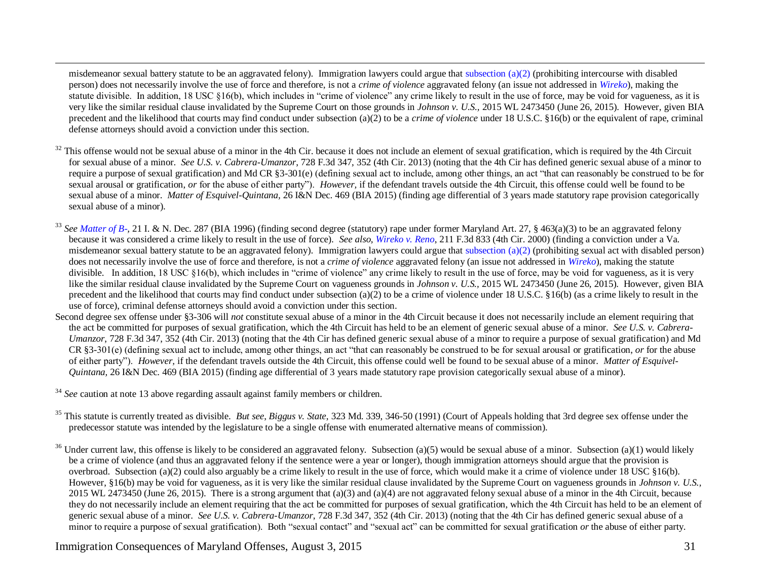misdemeanor sexual battery statute to be an aggravated felony). Immigration lawyers could argue that [subsection \(a\)\(2\)](http://mlis.state.md.us/cgi-win/web_statutes.exe?gcr&3-211) (prohibiting intercourse with disabled person) does not necessarily involve the use of force and therefore, is not a *crime of violence* aggravated felony (an issue not addressed in *[Wireko](http://pacer.ca4.uscourts.gov/opinion.pdf/991109.P.pdf)*), making the statute divisible. In addition, 18 USC §16(b), which includes in "crime of violence" any crime likely to result in the use of force, may be void for vagueness, as it is very like the similar residual clause invalidated by the Supreme Court on those grounds in *Johnson v. U.S.,* 2015 WL 2473450 (June 26, 2015). However, given BIA precedent and the likelihood that courts may find conduct under subsection (a)(2) to be a *crime of violence* under 18 U.S.C. §16(b) or the equivalent of rape, criminal defense attorneys should avoid a conviction under this section.

- $32$  This offense would not be sexual abuse of a minor in the 4th Cir. because it does not include an element of sexual gratification, which is required by the 4th Circuit for sexual abuse of a minor. *See U.S. v. Cabrera-Umanzor*, 728 F.3d 347, 352 (4th Cir. 2013) (noting that the 4th Cir has defined generic sexual abuse of a minor to require a purpose of sexual gratification) and Md CR §3-301(e) (defining sexual act to include, among other things, an act "that can reasonably be construed to be for sexual arousal or gratification, *or* for the abuse of either party"). *However*, if the defendant travels outside the 4th Circuit, this offense could well be found to be sexual abuse of a minor. *Matter of Esquivel-Quintana,* 26 I&N Dec. 469 (BIA 2015) (finding age differential of 3 years made statutory rape provision categorically sexual abuse of a minor).
- <sup>33</sup> See [Matter of B-,](http://www.usdoj.gov/eoir/vll/intdec/vol21/3270.pdf) 21 I. & N. Dec. 287 (BIA 1996) (finding second degree (statutory) rape under former Maryland Art. 27, § 463(a)(3) to be an aggravated felony because it was considered a crime likely to result in the use of force). *See also, [Wireko v. Reno](http://pacer.ca4.uscourts.gov/opinion.pdf/991109.P.pdf)*, 211 F.3d 833 (4th Cir. 2000) (finding a conviction under a Va. misdemeanor sexual battery statute to be an aggravated felony). Immigration lawyers could argue that subsection  $(a)(2)$  (prohibiting sexual act with disabled person) does not necessarily involve the use of force and therefore, is not a *crime of violence* aggravated felony (an issue not addressed in *[Wireko](http://pacer.ca4.uscourts.gov/opinion.pdf/991109.P.pdf)*), making the statute divisible. In addition, 18 USC §16(b), which includes in "crime of violence" any crime likely to result in the use of force, may be void for vagueness, as it is very like the similar residual clause invalidated by the Supreme Court on vagueness grounds in *Johnson v. U.S.,* 2015 WL 2473450 (June 26, 2015). However, given BIA precedent and the likelihood that courts may find conduct under subsection (a)(2) to be a crime of violence under 18 U.S.C. §16(b) (as a crime likely to result in the use of force), criminal defense attorneys should avoid a conviction under this section.
- Second degree sex offense under §3-306 will *not* constitute sexual abuse of a minor in the 4th Circuit because it does not necessarily include an element requiring that the act be committed for purposes of sexual gratification, which the 4th Circuit has held to be an element of generic sexual abuse of a minor. *See U.S. v. Cabrera-Umanzor*, 728 F.3d 347, 352 (4th Cir. 2013) (noting that the 4th Cir has defined generic sexual abuse of a minor to require a purpose of sexual gratification) and Md CR §3-301(e) (defining sexual act to include, among other things, an act "that can reasonably be construed to be for sexual arousal or gratification, *or* for the abuse of either party"). *However,* if the defendant travels outside the 4th Circuit, this offense could well be found to be sexual abuse of a minor. *Matter of Esquivel-Quintana,* 26 I&N Dec. 469 (BIA 2015) (finding age differential of 3 years made statutory rape provision categorically sexual abuse of a minor).
- <sup>34</sup> *See* caution at not[e 13](#page-4-0) above regarding assault against family members or children.

 $\overline{a}$ 

- <sup>35</sup> This statute is currently treated as divisible. *But see, Biggus v. State*, 323 Md. 339, 346-50 (1991) (Court of Appeals holding that 3rd degree sex offense under the predecessor statute was intended by the legislature to be a single offense with enumerated alternative means of commission).
- <sup>36</sup> Under current law, this offense is likely to be considered an aggravated felony. Subsection (a)(5) would be sexual abuse of a minor. Subsection (a)(1) would likely be a crime of violence (and thus an aggravated felony if the sentence were a year or longer), though immigration attorneys should argue that the provision is overbroad. Subsection (a)(2) could also arguably be a crime likely to result in the use of force, which would make it a crime of violence under 18 USC §16(b). However, §16(b) may be void for vagueness, as it is very like the similar residual clause invalidated by the Supreme Court on vagueness grounds in *Johnson v. U.S.,*  2015 WL 2473450 (June 26, 2015). There is a strong argument that  $(a)(3)$  and  $(a)(4)$  are not aggravated felony sexual abuse of a minor in the 4th Circuit, because they do not necessarily include an element requiring that the act be committed for purposes of sexual gratification, which the 4th Circuit has held to be an element of generic sexual abuse of a minor. *See U.S. v. Cabrera-Umanzor*, 728 F.3d 347, 352 (4th Cir. 2013) (noting that the 4th Cir has defined generic sexual abuse of a minor to require a purpose of sexual gratification). Both "sexual contact" and "sexual act" can be committed for sexual gratification *or* the abuse of either party.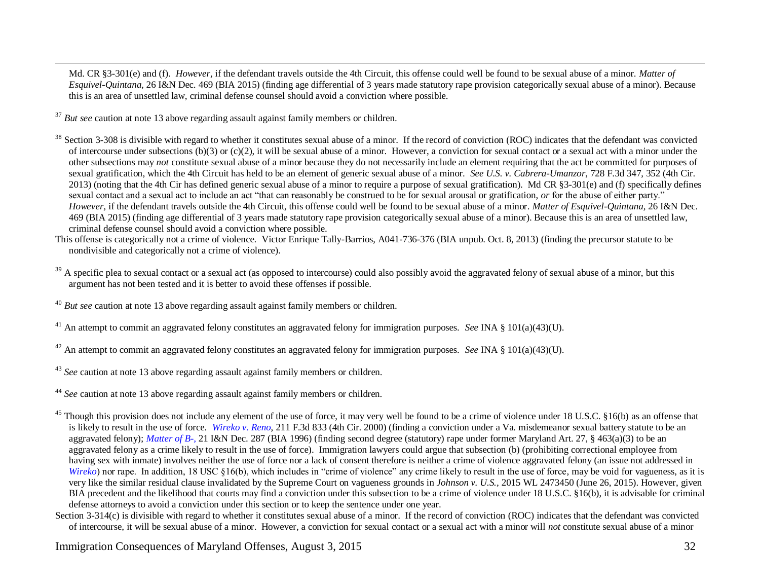Md. CR §3-301(e) and (f). *However,* if the defendant travels outside the 4th Circuit, this offense could well be found to be sexual abuse of a minor. *Matter of Esquivel-Quintana,* 26 I&N Dec. 469 (BIA 2015) (finding age differential of 3 years made statutory rape provision categorically sexual abuse of a minor). Because this is an area of unsettled law, criminal defense counsel should avoid a conviction where possible.

<sup>37</sup> *But see* caution at not[e 13](#page-4-0) above regarding assault against family members or children.

 $\overline{a}$ 

<sup>38</sup> Section 3-308 is divisible with regard to whether it constitutes sexual abuse of a minor. If the record of conviction (ROC) indicates that the defendant was convicted of intercourse under subsections  $(b)(3)$  or  $(c)(2)$ , it will be sexual abuse of a minor. However, a conviction for sexual contact or a sexual act with a minor under the other subsections may *not* constitute sexual abuse of a minor because they do not necessarily include an element requiring that the act be committed for purposes of sexual gratification, which the 4th Circuit has held to be an element of generic sexual abuse of a minor. *See U.S. v. Cabrera-Umanzor*, 728 F.3d 347, 352 (4th Cir. 2013) (noting that the 4th Cir has defined generic sexual abuse of a minor to require a purpose of sexual gratification). Md CR  $\S$ 3-301(e) and (f) specifically defines sexual contact and a sexual act to include an act "that can reasonably be construed to be for sexual arousal or gratification, *or* for the abuse of either party." *However,* if the defendant travels outside the 4th Circuit, this offense could well be found to be sexual abuse of a minor. *Matter of Esquivel-Quintana,* 26 I&N Dec. 469 (BIA 2015) (finding age differential of 3 years made statutory rape provision categorically sexual abuse of a minor). Because this is an area of unsettled law, criminal defense counsel should avoid a conviction where possible.

This offense is categorically not a crime of violence. Victor Enrique Tally-Barrios, A041-736-376 (BIA unpub. Oct. 8, 2013) (finding the precursor statute to be nondivisible and categorically not a crime of violence).

<sup>39</sup> A specific plea to sexual contact or a sexual act (as opposed to intercourse) could also possibly avoid the aggravated felony of sexual abuse of a minor, but this argument has not been tested and it is better to avoid these offenses if possible.

<sup>41</sup> An attempt to commit an aggravated felony constitutes an aggravated felony for immigration purposes. *See* INA § 101(a)(43)(U).

<sup>42</sup> An attempt to commit an aggravated felony constitutes an aggravated felony for immigration purposes. *See* INA § 101(a)(43)(U).

<sup>43</sup> *See* caution at not[e 13](#page-4-0) above regarding assault against family members or children.

<sup>44</sup> *See* caution at not[e 13](#page-4-0) above regarding assault against family members or children.

 $^{45}$  Though this provision does not include any element of the use of force, it may very well be found to be a crime of violence under 18 U.S.C. §16(b) as an offense that is likely to result in the use of force. *[Wireko v. Reno](http://pacer.ca4.uscourts.gov/opinion.pdf/991109.P.pdf)*, 211 F.3d 833 (4th Cir. 2000) (finding a conviction under a Va. misdemeanor sexual battery statute to be an aggravated felony); *[Matter of B-,](http://www.usdoj.gov/eoir/vll/intdec/vol21/3270.pdf)* 21 I&N Dec. 287 (BIA 1996) (finding second degree (statutory) rape under former Maryland Art. 27, § 463(a)(3) to be an aggravated felony as a crime likely to result in the use of force). Immigration lawyers could argue that subsection (b) (prohibiting correctional employee from having sex with inmate) involves neither the use of force nor a lack of consent therefore is neither a crime of violence aggravated felony (an issue not addressed in *[Wireko](http://pacer.ca4.uscourts.gov/opinion.pdf/991109.P.pdf)*) nor rape. In addition, 18 USC §16(b), which includes in "crime of violence" any crime likely to result in the use of force, may be void for vagueness, as it is very like the similar residual clause invalidated by the Supreme Court on vagueness grounds in *Johnson v. U.S.,* 2015 WL 2473450 (June 26, 2015). However, given BIA precedent and the likelihood that courts may find a conviction under this subsection to be a crime of violence under 18 U.S.C. §16(b), it is advisable for criminal defense attorneys to avoid a conviction under this section or to keep the sentence under one year.

Section 3-314(c) is divisible with regard to whether it constitutes sexual abuse of a minor. If the record of conviction (ROC) indicates that the defendant was convicted of intercourse, it will be sexual abuse of a minor. However, a conviction for sexual contact or a sexual act with a minor will *not* constitute sexual abuse of a minor

<sup>40</sup> *But see* caution at not[e 13](#page-4-0) above regarding assault against family members or children.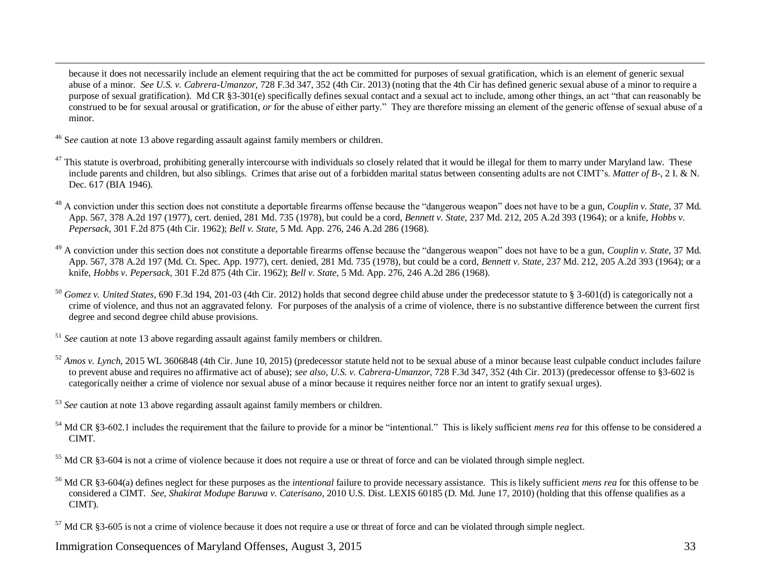because it does not necessarily include an element requiring that the act be committed for purposes of sexual gratification, which is an element of generic sexual abuse of a minor. *See U.S. v. Cabrera-Umanzor*, 728 F.3d 347, 352 (4th Cir. 2013) (noting that the 4th Cir has defined generic sexual abuse of a minor to require a purpose of sexual gratification). Md CR §3-301(e) specifically defines sexual contact and a sexual act to include, among other things, an act "that can reasonably be construed to be for sexual arousal or gratification, *or* for the abuse of either party." They are therefore missing an element of the generic offense of sexual abuse of a minor.

<sup>46</sup> S*ee* caution at note [13](#page-4-0) above regarding assault against family members or children.

 $\overline{a}$ 

- $47$  This statute is overbroad, prohibiting generally intercourse with individuals so closely related that it would be illegal for them to marry under Maryland law. These include parents and children, but also siblings. Crimes that arise out of a forbidden marital status between consenting adults are not CIMT's. *Matter of B-*, 2 I. & N. Dec. 617 (BIA 1946).
- <sup>48</sup> A conviction under this section does not constitute a deportable firearms offense because the "dangerous weapon" does not have to be a gun, *Couplin v. State,* 37 Md. App. 567, 378 A.2d 197 (1977), cert. denied, 281 Md. 735 (1978), but could be a cord, *Bennett v. State,* 237 Md. 212, 205 A.2d 393 (1964); or a knife, *Hobbs v. Pepersack,* 301 F.2d 875 (4th Cir. 1962); *Bell v. State,* 5 Md. App. 276, 246 A.2d 286 (1968).
- <sup>49</sup> A conviction under this section does not constitute a deportable firearms offense because the "dangerous weapon" does not have to be a gun, *Couplin v. State,* 37 Md. App. 567, 378 A.2d 197 (Md. Ct. Spec. App. 1977), cert. denied, 281 Md. 735 (1978), but could be a cord, *Bennett v. State,* 237 Md. 212, 205 A.2d 393 (1964); or a knife, *Hobbs v. Pepersack,* 301 F.2d 875 (4th Cir. 1962); *Bell v. State,* 5 Md. App. 276, 246 A.2d 286 (1968).
- <sup>50</sup> *Gomez v. United States*, 690 F.3d 194, 201-03 (4th Cir. 2012) holds that second degree child abuse under the predecessor statute to § 3-601(d) is categorically not a crime of violence, and thus not an aggravated felony. For purposes of the analysis of a crime of violence, there is no substantive difference between the current first degree and second degree child abuse provisions.

<sup>51</sup> *See* caution at not[e 13](#page-4-0) above regarding assault against family members or children.

<sup>52</sup> *Amos v. Lynch*, 2015 WL 3606848 (4th Cir. June 10, 2015) (predecessor statute held not to be sexual abuse of a minor because least culpable conduct includes failure to prevent abuse and requires no affirmative act of abuse); *see also, U.S. v. Cabrera-Umanzor*, 728 F.3d 347, 352 (4th Cir. 2013) (predecessor offense to §3-602 is categorically neither a crime of violence nor sexual abuse of a minor because it requires neither force nor an intent to gratify sexual urges).

<sup>53</sup> *See* caution at not[e 13](#page-4-0) above regarding assault against family members or children.

<sup>54</sup> Md CR §3-602.1 includes the requirement that the failure to provide for a minor be "intentional." This is likely sufficient *mens rea* for this offense to be considered a CIMT.

<sup>55</sup> Md CR §3-604 is not a crime of violence because it does not require a use or threat of force and can be violated through simple neglect.

<sup>56</sup> Md CR §3-604(a) defines neglect for these purposes as the *intentional* failure to provide necessary assistance. This is likely sufficient *mens rea* for this offense to be considered a CIMT. *See, Shakirat Modupe Baruwa v. Caterisano*, 2010 U.S. Dist. LEXIS 60185 (D. Md. June 17, 2010) (holding that this offense qualifies as a CIMT).

 $57$  Md CR §3-605 is not a crime of violence because it does not require a use or threat of force and can be violated through simple neglect.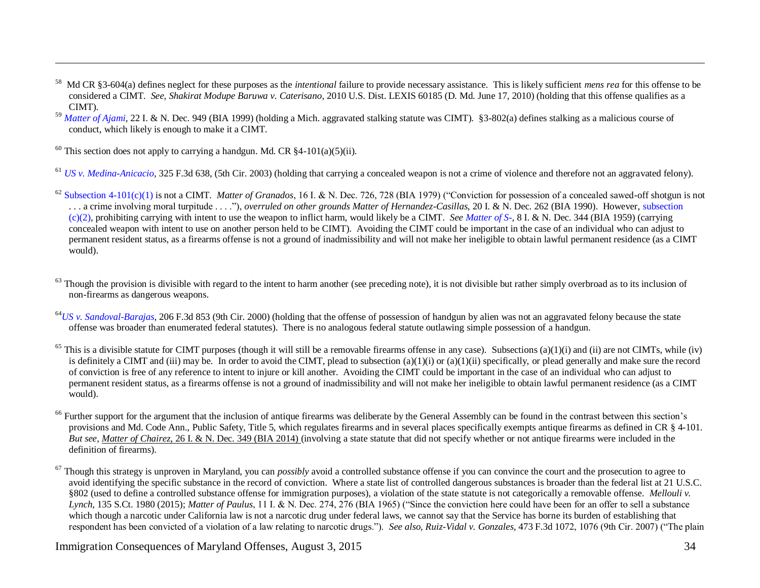- 58 Md CR §3-604(a) defines neglect for these purposes as the *intentional* failure to provide necessary assistance. This is likely sufficient *mens rea* for this offense to be considered a CIMT. *See, Shakirat Modupe Baruwa v. Caterisano*, 2010 U.S. Dist. LEXIS 60185 (D. Md. June 17, 2010) (holding that this offense qualifies as a CIMT).
- <sup>59</sup> [Matter of Ajami,](http://www.usdoj.gov/eoir/vll/intdec/vol22/3405.pdf) 22 I. & N. Dec. 949 (BIA 1999) (holding a Mich. aggravated stalking statute was CIMT). §3-802(a) defines stalking as a malicious course of conduct, which likely is enough to make it a CIMT.
- <sup>60</sup> This section does not apply to carrying a handgun. Md. CR  $84-101(a)(5)(ii)$ .

 $\overline{a}$ 

<sup>61</sup> *US v. Medina-Anicacio*, 325 F.3d 638, (5th Cir. 2003) (holding that carrying a concealed weapon is not a crime of violence and therefore not an aggravated felony).

- <sup>62</sup> [Subsection 4-101\(c\)\(1\)](http://mlis.state.md.us/cgi-win/web_statutes.exe?gcr&4-101) is not a CIMT. *Matter of Granados*, 16 I. & N. Dec. 726, 728 (BIA 1979) ("Conviction for possession of a concealed sawed-off shotgun is not . . . a crime involving moral turpitude . . . ."), *overruled on other grounds Matter of Hernandez-Casillas*, 20 I. & N. Dec. 262 (BIA 1990). However[, subsection](http://mlis.state.md.us/asp/web_statutes.asp?gcr&4-101)  [\(c\)\(2\),](http://mlis.state.md.us/asp/web_statutes.asp?gcr&4-101) prohibiting carrying with intent to use the weapon to inflict harm, would likely be a CIMT. *See [Matter of S-,](http://www.usdoj.gov/eoir/vll/intdec/vol08/Pg344.pdf)* 8 I. & N. Dec. 344 (BIA 1959) (carrying concealed weapon with intent to use on another person held to be CIMT). Avoiding the CIMT could be important in the case of an individual who can adjust to permanent resident status, as a firearms offense is not a ground of inadmissibility and will not make her ineligible to obtain lawful permanent residence (as a CIMT would).
- $63$  Though the provision is divisible with regard to the intent to harm another (see preceding note), it is not divisible but rather simply overbroad as to its inclusion of non-firearms as dangerous weapons.
- <sup>64</sup>*[US v. Sandoval-Barajas](http://www.ca9.uscourts.gov/ca9/newopinions.nsf/04485f8dcbd4e1ea882569520074e698/5119b53821b965bd882569520075790a?OpenDocument)*, 206 F.3d 853 (9th Cir. 2000) (holding that the offense of possession of handgun by alien was not an aggravated felony because the state offense was broader than enumerated federal statutes). There is no analogous federal statute outlawing simple possession of a handgun.
- <sup>65</sup> This is a divisible statute for CIMT purposes (though it will still be a removable firearms offense in any case). Subsections (a)(1)(i) and (ii) are not CIMTs, while (iv) is definitely a CIMT and (iii) may be. In order to avoid the CIMT, plead to subsection (a)(1)(i) or (a)(1)(ii) specifically, or plead generally and make sure the record of conviction is free of any reference to intent to injure or kill another. Avoiding the CIMT could be important in the case of an individual who can adjust to permanent resident status, as a firearms offense is not a ground of inadmissibility and will not make her ineligible to obtain lawful permanent residence (as a CIMT would).
- <sup>66</sup> Further support for the argument that the inclusion of antique firearms was deliberate by the General Assembly can be found in the contrast between this section's provisions and Md. Code Ann., Public Safety, Title 5, which regulates firearms and in several places specifically exempts antique firearms as defined in CR § 4-101. *But see, Matter of Chairez*, 26 I. & N. Dec. 349 (BIA 2014) (involving a state statute that did not specify whether or not antique firearms were included in the definition of firearms).
- <sup>67</sup> Though this strategy is unproven in Maryland, you can *possibly* avoid a controlled substance offense if you can convince the court and the prosecution to agree to avoid identifying the specific substance in the record of conviction. Where a state list of controlled dangerous substances is broader than the federal list at 21 U.S.C. §802 (used to define a controlled substance offense for immigration purposes), a violation of the state statute is not categorically a removable offense. *Mellouli v. Lynch*, 135 S.Ct. 1980 (2015); *Matter of Paulus*, 11 I. & N. Dec. 274, 276 (BIA 1965) ("Since the conviction here could have been for an offer to sell a substance which though a narcotic under California law is not a narcotic drug under federal laws, we cannot say that the Service has borne its burden of establishing that respondent has been convicted of a violation of a law relating to narcotic drugs."). *See also, Ruiz-Vidal v. Gonzales,* 473 F.3d 1072, 1076 (9th Cir. 2007) ("The plain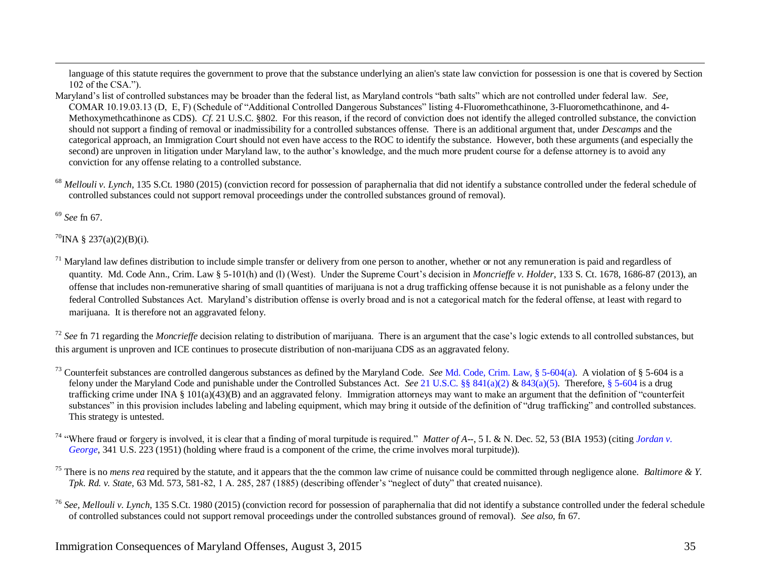language of this statute requires the government to prove that the substance underlying an alien's state law conviction for possession is one that is covered by Section 102 of the CSA.").

- Maryland's list of controlled substances may be broader than the federal list, as Maryland controls "bath salts" which are not controlled under federal law. *See,*  COMAR 10.19.03.13 (D, E, F) (Schedule of "Additional Controlled Dangerous Substances" listing 4-Fluoromethcathinone, 3-Fluoromethcathinone, and 4- Methoxymethcathinone as CDS). *Cf.* 21 U.S.C. §802. For this reason, if the record of conviction does not identify the alleged controlled substance, the conviction should not support a finding of removal or inadmissibility for a controlled substances offense. There is an additional argument that, under *Descamps* and the categorical approach, an Immigration Court should not even have access to the ROC to identify the substance. However, both these arguments (and especially the second) are unproven in litigation under Maryland law, to the author's knowledge, and the much more prudent course for a defense attorney is to avoid any conviction for any offense relating to a controlled substance.
- Mellouli v. Lynch, 135 S.Ct. 1980 (2015) (conviction record for possession of paraphernalia that did not identify a substance controlled under the federal schedule of controlled substances could not support removal proceedings under the controlled substances ground of removal).

<sup>69</sup> *See* fn [67.](#page-15-0)

 $\overline{a}$ 

 $^{70}$ INA § 237(a)(2)(B)(i).

<sup>71</sup> Maryland law defines distribution to include simple transfer or delivery from one person to another, whether or not any remuneration is paid and regardless of quantity. Md. Code Ann., Crim. Law § 5-101(h) and (l) (West). Under the Supreme Court's decision in *Moncrieffe v. Holder*, 133 S. Ct. 1678, 1686-87 (2013), an offense that includes non-remunerative sharing of small quantities of marijuana is not a drug trafficking offense because it is not punishable as a felony under the federal Controlled Substances Act. Maryland's distribution offense is overly broad and is not a categorical match for the federal offense, at least with regard to marijuana. It is therefore not an aggravated felony.

<sup>72</sup> See fn [71](#page-17-0) regarding the *Moncrieffe* decision relating to distribution of marijuana. There is an argument that the case's logic extends to all controlled substances, but this argument is unproven and ICE continues to prosecute distribution of non-marijuana CDS as an aggravated felony.

- <sup>73</sup> Counterfeit substances are controlled dangerous substances as defined by the Maryland Code. *See* [Md. Code, Crim.](http://mlis.state.md.us/asp/web_statutes.asp?gcr&5-604) Law, § 5-604(a). A violation of § 5-604 is a felony under the Maryland Code and punishable under the Controlled Substances Act. *See* [21 U.S.C. §§ 841\(a\)\(2\)](http://www.law.cornell.edu/uscode/21/usc_sec_21_00000841----000-.html) [& 843\(a\)\(5\).](http://www.law.cornell.edu/uscode/21/usc_sec_21_00000843----000-.html) Therefore[, § 5-604](http://mlis.state.md.us/asp/web_statutes.asp?gcr&5-604) is a drug trafficking crime under INA § 101(a)(43)(B) and an aggravated felony. Immigration attorneys may want to make an argument that the definition of "counterfeit substances" in this provision includes labeling and labeling equipment, which may bring it outside of the definition of "drug trafficking" and controlled substances. This strategy is untested.
- <sup>74</sup> "Where fraud or forgery is involved, it is clear that a finding of moral turpitude is required." *Matter of A*--, 5 I. & N. Dec. 52, 53 (BIA 1953) (citing *Jordan v*. *[George](http://caselaw.lp.findlaw.com/cgi-bin/getcase.pl?friend=nytimes&navby=case&court=us&vol=341&invol=223)*, 341 U.S. 223 (1951) (holding where fraud is a component of the crime, the crime involves moral turpitude)).
- <sup>75</sup> There is no *mens rea* required by the statute, and it appears that the the common law crime of nuisance could be committed through negligence alone. *Baltimore & Y*. *Tpk. Rd. v. State*, 63 Md. 573, 581-82, 1 A. 285, 287 (1885) (describing offender's "neglect of duty" that created nuisance).

<sup>&</sup>lt;sup>76</sup> See, Mellouli v. Lynch, 135 S.Ct. 1980 (2015) (conviction record for possession of paraphernalia that did not identify a substance controlled under the federal schedule of controlled substances could not support removal proceedings under the controlled substances ground of removal). *See also,* fn [67.](#page-15-0)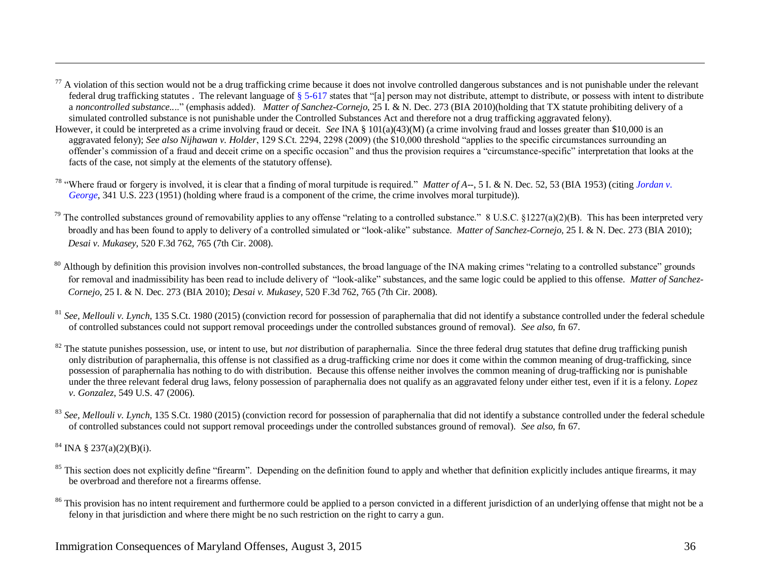- $77$  A violation of this section would not be a drug trafficking crime because it does not involve controlled dangerous substances and is not punishable under the relevant federal drug trafficking statutes . The relevant language o[f § 5-617](http://mlis.state.md.us/cgi-win/web_statutes.exe?gcr&5-617) states that "[a] person may not distribute, attempt to distribute, or possess with intent to distribute a *noncontrolled substance..*.." (emphasis added). *Matter of Sanchez-Cornejo*, 25 I. & N. Dec. 273 (BIA 2010)(holding that TX statute prohibiting delivery of a simulated controlled substance is not punishable under the Controlled Substances Act and therefore not a drug trafficking aggravated felony).
- However, it could be interpreted as a crime involving fraud or deceit. *See* INA § 101(a)(43)(M) (a crime involving fraud and losses greater than \$10,000 is an aggravated felony); *See also Nijhawan v. Holder*, 129 S.Ct. 2294, 2298 (2009) (the \$10,000 threshold "applies to the specific circumstances surrounding an offender's commission of a fraud and deceit crime on a specific occasion" and thus the provision requires a "circumstance-specific" interpretation that looks at the facts of the case, not simply at the elements of the statutory offense).
- <sup>78</sup> "Where fraud or forgery is involved, it is clear that a finding of moral turpitude is required." *Matter of A--*, 5 I. & N. Dec. 52, 53 (BIA 1953) (citing *[Jordan v.](http://laws.findlaw.com/us/341/223.html)  [George](http://laws.findlaw.com/us/341/223.html)*, 341 U.S. 223 (1951) (holding where fraud is a component of the crime, the crime involves moral turpitude)).
- <sup>79</sup> The controlled substances ground of removability applies to any offense "relating to a controlled substance." 8 U.S.C. §1227(a)(2)(B). This has been interpreted very broadly and has been found to apply to delivery of a controlled simulated or "look-alike" substance. *Matter of Sanchez-Cornejo*, 25 I. & N. Dec. 273 (BIA 2010); *Desai v. Mukasey*, 520 F.3d 762, 765 (7th Cir. 2008).
- <sup>80</sup> Although by definition this provision involves non-controlled substances, the broad language of the INA making crimes "relating to a controlled substance" grounds for removal and inadmissibility has been read to include delivery of "look-alike" substances, and the same logic could be applied to this offense. *Matter of Sanchez-Cornejo*, 25 I. & N. Dec. 273 (BIA 2010); *Desai v. Mukasey*, 520 F.3d 762, 765 (7th Cir. 2008).
- <sup>81</sup> See, Mellouli v. Lynch, 135 S.Ct. 1980 (2015) (conviction record for possession of paraphernalia that did not identify a substance controlled under the federal schedule of controlled substances could not support removal proceedings under the controlled substances ground of removal). *See also,* fn [67.](#page-15-0)
- $82$  The statute punishes possession, use, or intent to use, but *not* distribution of paraphernalia. Since the three federal drug statutes that define drug trafficking punish only distribution of paraphernalia, this offense is not classified as a drug-trafficking crime nor does it come within the common meaning of drug-trafficking, since possession of paraphernalia has nothing to do with distribution. Because this offense neither involves the common meaning of drug-trafficking nor is punishable under the three relevant federal drug laws, felony possession of paraphernalia does not qualify as an aggravated felony under either test, even if it is a felony. *Lopez v. Gonzalez*, 549 U.S. 47 (2006).
- <sup>83</sup> See, Mellouli v. Lynch, 135 S.Ct. 1980 (2015) (conviction record for possession of paraphernalia that did not identify a substance controlled under the federal schedule of controlled substances could not support removal proceedings under the controlled substances ground of removal). *See also,* fn [67.](#page-15-0)

 $84$  INA  $\S$  237(a)(2)(B)(i).

 $\overline{a}$ 

- <sup>85</sup> This section does not explicitly define "firearm". Depending on the definition found to apply and whether that definition explicitly includes antique firearms, it may be overbroad and therefore not a firearms offense.
- <sup>86</sup> This provision has no intent requirement and furthermore could be applied to a person convicted in a different jurisdiction of an underlying offense that might not be a felony in that jurisdiction and where there might be no such restriction on the right to carry a gun.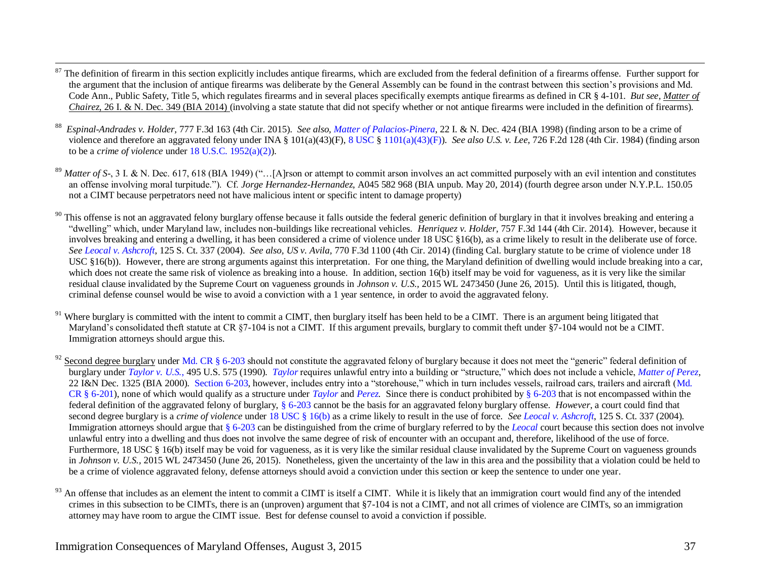- The definition of firearm in this section explicitly includes antique firearms, which are excluded from the federal definition of a firearms offense. Further support for the argument that the inclusion of antique firearms was deliberate by the General Assembly can be found in the contrast between this section's provisions and Md. Code Ann., Public Safety, Title 5, which regulates firearms and in several places specifically exempts antique firearms as defined in CR § 4-101. *But see, Matter of Chairez*, 26 I. & N. Dec. 349 (BIA 2014) (involving a state statute that did not specify whether or not antique firearms were included in the definition of firearms).
- 88 *Espinal-Andrades v. Holder,* 777 F.3d 163 (4th Cir. 2015). *See also[, Matter of Palacios-Pinera](http://www.usdoj.gov/eoir/vll/intdec/vol22/3373.pdf)*, 22 I. & N. Dec. 424 (BIA 1998) (finding arson to be a crime of violence and therefore an aggravated felony under INA § 101(a)(43)(F), [8 USC § 1101\(a\)\(43\)\(F\)\)](http://www.law.cornell.edu/uscode/uscode08/usc_sec_08_00001101----000-.html). *See also U.S. v. Lee*, 726 F.2d 128 (4th Cir. 1984) (finding arson to be a *crime of violence* unde[r 18 U.S.C. 1952\(a\)\(2\)\)](http://www4.law.cornell.edu/uscode/html/uscode18/usc_sec_18_00001952----000-.html).
- <sup>89</sup> Matter of S-, 3 I. & N. Dec. 617, 618 (BIA 1949) ("...[A]rson or attempt to commit arson involves an act committed purposely with an evil intention and constitutes an offense involving moral turpitude."). Cf. *Jorge Hernandez-Hernandez*, A045 582 968 (BIA unpub. May 20, 2014) (fourth degree arson under N.Y.P.L. 150.05 not a CIMT because perpetrators need not have malicious intent or specific intent to damage property)
- $90$  This offense is not an aggravated felony burglary offense because it falls outside the federal generic definition of burglary in that it involves breaking and entering a "dwelling" which, under Maryland law, includes non-buildings like recreational vehicles. *Henriquez v. Holder,* 757 F.3d 144 (4th Cir. 2014). However, because it involves breaking and entering a dwelling, it has been considered a crime of violence under 18 USC §16(b), as a crime likely to result in the deliberate use of force. *See [Leocal v. Ashcroft](http://www.law.cornell.edu/supct/html/03-583.ZS.html)*, 125 S. Ct. 337 (2004). *See also, US v. Avila,* 770 F.3d 1100 (4th Cir. 2014) (finding Cal. burglary statute to be crime of violence under 18 USC §16(b)). However, there are strong arguments against this interpretation. For one thing, the Maryland definition of dwelling would include breaking into a car, which does not create the same risk of violence as breaking into a house. In addition, section 16(b) itself may be void for vagueness, as it is very like the similar residual clause invalidated by the Supreme Court on vagueness grounds in *Johnson v. U.S.,* 2015 WL 2473450 (June 26, 2015). Until this is litigated, though, criminal defense counsel would be wise to avoid a conviction with a 1 year sentence, in order to avoid the aggravated felony.
- $91$  Where burglary is committed with the intent to commit a CIMT, then burglary itself has been held to be a CIMT. There is an argument being litigated that Maryland's consolidated theft statute at CR §7-104 is not a CIMT. If this argument prevails, burglary to commit theft under §7-104 would not be a CIMT. Immigration attorneys should argue this.

Second degree burglary unde[r Md. CR § 6-203](http://mlis.state.md.us/asp/web_statutes.asp?gcr&6-203) should not constitute the aggravated felony of burglary because it does not meet the "generic" federal definition of burglary under *[Taylor v. U.S.](http://laws.lp.findlaw.com/getcase/US/495/575.html)*, 495 U.S. 575 (1990). *[Taylor](http://laws.lp.findlaw.com/getcase/US/495/575.html)* requires unlawful entry into a building or "structure," which does not include a vehicle, *[Matter of Perez,](http://www.usdoj.gov/eoir/vll/intdec/vol22/3432.pdf)*  22 I&N Dec. 1325 (BIA 2000). [Section 6-203,](http://mlis.state.md.us/cgi-win/web_statutes.exe?gcr&6-203) however, includes entry into a "storehouse," which in turn includes vessels, railroad cars, trailers and aircraft (Md. [CR § 6-201\)](http://mlis.state.md.us/asp/web_statutes.asp?gcr&6-201), none of which would qualify as a structure under *[Taylor](http://laws.lp.findlaw.com/getcase/US/495/575.html)* and *[Perez.](http://www.usdoj.gov/eoir/vll/intdec/vol22/3432.pdf)* Since there is conduct prohibited b[y § 6-203](http://mlis.state.md.us/asp/web_statutes.asp?gcr&6-203) that is not encompassed within the federal definition of the aggravated felony of burglary, [§ 6-203](http://mlis.state.md.us/asp/web_statutes.asp?gcr&6-203) cannot be the basis for an aggravated felony burglary offense. *However*, a court could find that second degree burglary is a *crime of violence* under [18 USC § 16\(b\)](http://www.law.cornell.edu/uscode/uscode18/usc_sec_18_00000016----000-.html) as a crime likely to result in the use of force. *See [Leocal v. Ashcroft](http://www.law.cornell.edu/supct/html/03-583.ZS.html)*, 125 S. Ct. 337 (2004). Immigration attorneys should argue that [§ 6-203](http://mlis.state.md.us/asp/web_statutes.asp?gcr&6-203) can be distinguished from the crime of burglary referred to by the *[Leocal](http://www.law.cornell.edu/supct/html/03-583.ZS.html)* court because this section does not involve unlawful entry into a dwelling and thus does not involve the same degree of risk of encounter with an occupant and, therefore, likelihood of the use of force. Furthermore, 18 USC § 16(b) itself may be void for vagueness, as it is very like the similar residual clause invalidated by the Supreme Court on vagueness grounds in *Johnson v. U.S.,* 2015 WL 2473450 (June 26, 2015). Nonetheless, given the uncertainty of the law in this area and the possibility that a violation could be held to be a crime of violence aggravated felony, defense attorneys should avoid a conviction under this section or keep the sentence to under one year.

An offense that includes as an element the intent to commit a CIMT is itself a CIMT. While it is likely that an immigration court would find any of the intended crimes in this subsection to be CIMTs, there is an (unproven) argument that §7-104 is not a CIMT, and not all crimes of violence are CIMTs, so an immigration attorney may have room to argue the CIMT issue. Best for defense counsel to avoid a conviction if possible.

 $\overline{a}$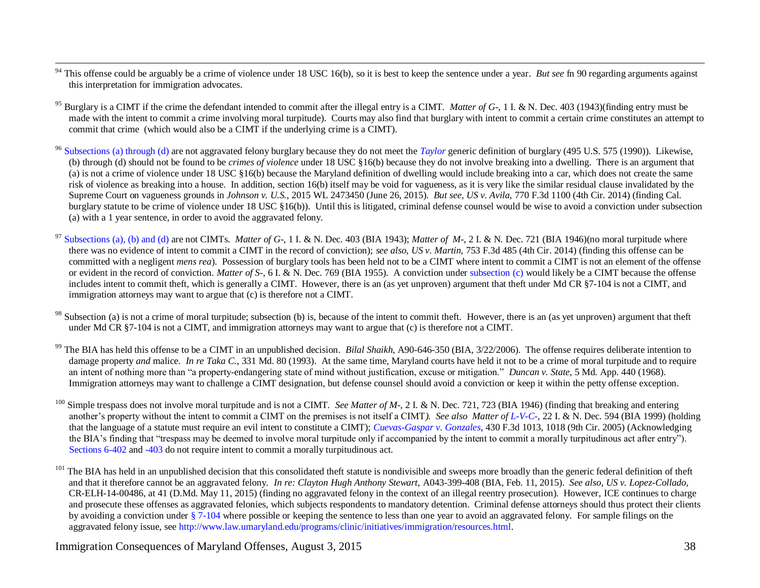- $\overline{a}$ <sup>94</sup> This offense could be arguably be a crime of violence under 18 USC 16(b), so it is best to keep the sentence under a year. *But see* f[n 90](#page-21-0) regarding arguments against this interpretation for immigration advocates.
- <sup>95</sup> Burglary is a CIMT if the crime the defendant intended to commit after the illegal entry is a CIMT. *Matter of G*-, 1 I. & N. Dec. 403 (1943)(finding entry must be made with the intent to commit a crime involving moral turpitude). Courts may also find that burglary with intent to commit a certain crime constitutes an attempt to commit that crime (which would also be a CIMT if the underlying crime is a CIMT).
- <sup>96</sup> [Subsections \(a\) through \(d\)](http://mlis.state.md.us/cgi-win/web_statutes.exe?gcr&6-205) are not aggravated felony burglary because they do not meet the *[Taylor](http://laws.lp.findlaw.com/getcase/US/495/575.html)* generic definition of burglary (495 U.S. 575 (1990)). Likewise, (b) through (d) should not be found to be *crimes of violence* under 18 USC §16(b) because they do not involve breaking into a dwelling. There is an argument that (a) is not a crime of violence under 18 USC §16(b) because the Maryland definition of dwelling would include breaking into a car, which does not create the same risk of violence as breaking into a house. In addition, section 16(b) itself may be void for vagueness, as it is very like the similar residual clause invalidated by the Supreme Court on vagueness grounds in *Johnson v. U.S.,* 2015 WL 2473450 (June 26, 2015). *But see, US v. Avila,* 770 F.3d 1100 (4th Cir. 2014) (finding Cal. burglary statute to be crime of violence under 18 USC §16(b)). Until this is litigated, criminal defense counsel would be wise to avoid a conviction under subsection (a) with a 1 year sentence, in order to avoid the aggravated felony.
- [Subsections \(a\), \(b\) and \(d\)](http://mlis.state.md.us/asp/web_statutes.asp?gcr&6-205) are not CIMTs. *Matter of G*-, 1 I. & N. Dec. 403 (BIA 1943); *Matter of M-*, 2 I. & N. Dec. 721 (BIA 1946)(no moral turpitude where there was no evidence of intent to commit a CIMT in the record of conviction); *see also, US v. Martin,* 753 F.3d 485 (4th Cir. 2014) (finding this offense can be committed with a negligent *mens rea*). Possession of burglary tools has been held not to be a CIMT where intent to commit a CIMT is not an element of the offense or evident in the record of conviction. *Matter of S-*, 6 I. & N. Dec. 769 (BIA 1955). A conviction unde[r subsection \(c\)](http://mlis.state.md.us/asp/web_statutes.asp?gcr&6-205) would likely be a CIMT because the offense includes intent to commit theft, which is generally a CIMT. However, there is an (as yet unproven) argument that theft under Md CR §7-104 is not a CIMT, and immigration attorneys may want to argue that (c) is therefore not a CIMT.
- Subsection (a) is not a crime of moral turpitude; subsection (b) is, because of the intent to commit theft. However, there is an (as yet unproven) argument that theft under Md CR §7-104 is not a CIMT, and immigration attorneys may want to argue that (c) is therefore not a CIMT.
- <sup>99</sup> The BIA has held this offense to be a CIMT in an unpublished decision. *Bilal Shaikh*, A90-646-350 (BIA, 3/22/2006). The offense requires deliberate intention to damage property *and* malice. *In re Taka C.*, 331 Md. 80 (1993). At the same time, Maryland courts have held it not to be a crime of moral turpitude and to require an intent of nothing more than "a property-endangering state of mind without justification, excuse or mitigation." *Duncan v. State*, 5 Md. App. 440 (1968). Immigration attorneys may want to challenge a CIMT designation, but defense counsel should avoid a conviction or keep it within the petty offense exception.
- Simple trespass does not involve moral turpitude and is not a CIMT. *See Matter of M-*, 2 I. & N. Dec. 721, 723 (BIA 1946) (finding that breaking and entering another's property without the intent to commit a CIMT on the premises is not itself a CIMT*). See als[o Matter of L-V-C-](http://www.usdoj.gov/eoir/vll/intdec/vol22/3382.pdf)*, 22 I. & N. Dec. 594 (BIA 1999) (holding that the language of a statute must require an evil intent to constitute a CIMT); *[Cuevas-Gaspar v. Gonzales](http://www.ca9.uscourts.gov/coa/newopinions.nsf/365842A3EF96D846882570D00002C1E7/$file/0373562.pdf?openelement)*, 430 F.3d 1013, 1018 (9th Cir. 2005) (Acknowledging the BIA's finding that "trespass may be deemed to involve moral turpitude only if accompanied by the intent to commit a morally turpitudinous act after entry"). [Sections 6-402](http://mlis.state.md.us/asp/web_statutes.asp?gcr&6-402) and [-403](http://mlis.state.md.us/asp/web_statutes.asp?gcr&6-403) do not require intent to commit a morally turpitudinous act.
- <sup>101</sup> The BIA has held in an unpublished decision that this consolidated theft statute is nondivisible and sweeps more broadly than the generic federal definition of theft and that it therefore cannot be an aggravated felony. *In re: Clayton Hugh Anthony Stewart,* A043-399-408 (BIA, Feb. 11, 2015). *See also, US v. Lopez-Collado,*  CR-ELH-14-00486, at 41 (D.Md. May 11, 2015) (finding no aggravated felony in the context of an illegal reentry prosecution). However, ICE continues to charge and prosecute these offenses as aggravated felonies, which subjects respondents to mandatory detention. Criminal defense attorneys should thus protect their clients by avoiding a conviction under [§ 7-104](http://mlis.state.md.us/asp/web_statutes.asp?gcr&7-104) where possible or keeping the sentence to less than one year to avoid an aggravated felony. For sample filings on the aggravated felony issue, see [http://www.law.umaryland.edu/programs/clinic/initiatives/immigration/resources.html.](http://www.law.umaryland.edu/programs/clinic/initiatives/immigration/resources.html)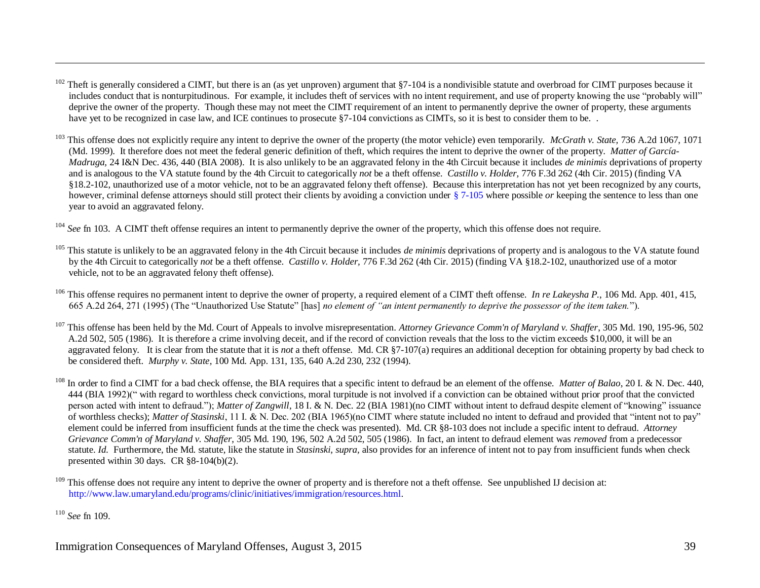- Theft is generally considered a CIMT, but there is an (as yet unproven) argument that §7-104 is a nondivisible statute and overbroad for CIMT purposes because it includes conduct that is nonturpitudinous. For example, it includes theft of services with no intent requirement, and use of property knowing the use "probably will" deprive the owner of the property. Though these may not meet the CIMT requirement of an intent to permanently deprive the owner of property, these arguments have yet to be recognized in case law, and ICE continues to prosecute §7-104 convictions as CIMTs, so it is best to consider them to be.
- <sup>103</sup> This offense does not explicitly require any intent to deprive the owner of the property (the motor vehicle) even temporarily. *McGrath v. State,* 736 A.2d 1067, 1071 (Md. 1999). It therefore does not meet the federal generic definition of theft, which requires the intent to deprive the owner of the property. *Matter of García-Madruga,* 24 I&N Dec. 436, 440 (BIA 2008). It is also unlikely to be an aggravated felony in the 4th Circuit because it includes *de minimis* deprivations of property and is analogous to the VA statute found by the 4th Circuit to categorically *not* be a theft offense. *Castillo v. Holder,* 776 F.3d 262 (4th Cir. 2015) (finding VA §18.2-102, unauthorized use of a motor vehicle, not to be an aggravated felony theft offense). Because this interpretation has not yet been recognized by any courts, however, criminal defense attorneys should still protect their clients by avoiding a conviction under [§ 7-105](http://mlis.state.md.us/asp/web_statutes.asp?gcr&7-105) where possible *or* keeping the sentence to less than one year to avoid an aggravated felony.

<sup>104</sup> See fn [103.](#page-25-0) A CIMT theft offense requires an intent to permanently deprive the owner of the property, which this offense does not require.

- <sup>105</sup> This statute is unlikely to be an aggravated felony in the 4th Circuit because it includes *de minimis* deprivations of property and is analogous to the VA statute found by the 4th Circuit to categorically *not* be a theft offense. *Castillo v. Holder,* 776 F.3d 262 (4th Cir. 2015) (finding VA §18.2-102, unauthorized use of a motor vehicle, not to be an aggravated felony theft offense).
- <sup>106</sup> This offense requires no permanent intent to deprive the owner of property, a required element of a CIMT theft offense. *In re Lakeysha P.*, 106 Md. App. 401, 415, 665 A.2d 264, 271 (1995) (The "Unauthorized Use Statute" [has] *no element of "an intent permanently to deprive the possessor of the item taken.*").
- <sup>107</sup> This offense has been held by the Md. Court of Appeals to involve misrepresentation. *Attorney Grievance Comm'n of Maryland v. Shaffer*, 305 Md. 190, 195-96, 502 A.2d 502, 505 (1986). It is therefore a crime involving deceit, and if the record of conviction reveals that the loss to the victim exceeds \$10,000, it will be an aggravated felony. It is clear from the statute that it is *not* a theft offense. Md. CR §7-107(a) requires an additional deception for obtaining property by bad check to be considered theft. *Murphy v. State*, 100 Md. App. 131, 135, 640 A.2d 230, 232 (1994).
- <sup>108</sup> In order to find a CIMT for a bad check offense, the BIA requires that a specific intent to defraud be an element of the offense. *Matter of Balao*, 20 I. & N. Dec. 440, 444 (BIA 1992)(" with regard to worthless check convictions, moral turpitude is not involved if a conviction can be obtained without prior proof that the convicted person acted with intent to defraud."); *Matter of Zangwill*, 18 I. & N. Dec. 22 (BIA 1981)(no CIMT without intent to defraud despite element of "knowing" issuance of worthless checks); *Matter of Stasinski*, 11 I. & N. Dec. 202 (BIA 1965)(no CIMT where statute included no intent to defraud and provided that "intent not to pay" element could be inferred from insufficient funds at the time the check was presented). Md. CR §8-103 does not include a specific intent to defraud. *Attorney Grievance Comm'n of Maryland v. Shaffer*, 305 Md. 190, 196, 502 A.2d 502, 505 (1986). In fact, an intent to defraud element was *removed* from a predecessor statute. *Id.* Furthermore, the Md. statute, like the statute in *Stasinski, supra,* also provides for an inference of intent not to pay from insufficient funds when check presented within 30 days. CR §8-104(b)(2).

 $\overline{a}$ 

<sup>&</sup>lt;sup>109</sup> This offense does not require any intent to deprive the owner of property and is therefore not a theft offense. See unpublished IJ decision at: [http://www.law.umaryland.edu/programs/clinic/initiatives/immigration/resources.html.](http://www.law.umaryland.edu/programs/clinic/initiatives/immigration/resources.html)

<sup>110</sup> *See* fn [109.](#page-25-1)